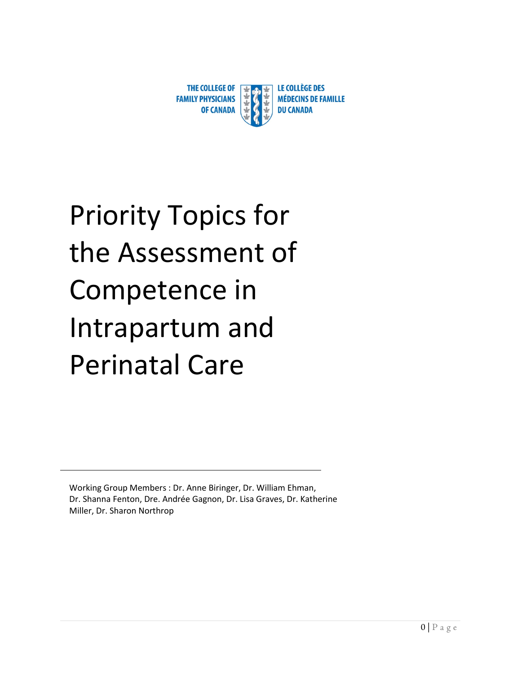

# Priority Topics for the Assessment of Competence in Intrapartum and Perinatal Care

Working Group Members : Dr. Anne Biringer, Dr. William Ehman, Dr. Shanna Fenton, Dre. Andrée Gagnon, Dr. Lisa Graves, Dr. Katherine Miller, Dr. Sharon Northrop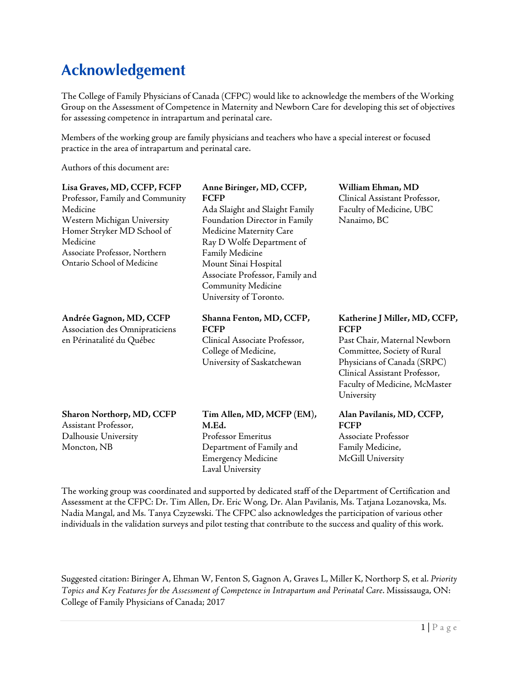#### **Acknowledgement**

The College of Family Physicians of Canada (CFPC) would like to acknowledge the members of the Working Group on the Assessment of Competence in Maternity and Newborn Care for developing this set of objectives for assessing competence in intrapartum and perinatal care.

Members of the working group are family physicians and teachers who have a special interest or focused practice in the area of intrapartum and perinatal care.

Authors of this document are:

| Lisa Graves, MD, CCFP, FCFP<br>Professor, Family and Community<br>Medicine<br>Western Michigan University<br>Homer Stryker MD School of<br>Medicine<br>Associate Professor, Northern<br>Ontario School of Medicine | Anne Biringer, MD, CCFP,<br><b>FCFP</b><br>Ada Slaight and Slaight Family<br>Foundation Director in Family<br>Medicine Maternity Care<br>Ray D Wolfe Department of<br>Family Medicine<br>Mount Sinai Hospital<br>Associate Professor, Family and<br><b>Community Medicine</b><br>University of Toronto. | William Ehman, MD<br>Clinical Assistant Professor,<br>Faculty of Medicine, UBC<br>Nanaimo, BC                                                                                                                              |
|--------------------------------------------------------------------------------------------------------------------------------------------------------------------------------------------------------------------|---------------------------------------------------------------------------------------------------------------------------------------------------------------------------------------------------------------------------------------------------------------------------------------------------------|----------------------------------------------------------------------------------------------------------------------------------------------------------------------------------------------------------------------------|
| Andrée Gagnon, MD, CCFP<br>Association des Omnipraticiens<br>en Périnatalité du Québec                                                                                                                             | Shanna Fenton, MD, CCFP,<br><b>FCFP</b><br>Clinical Associate Professor,<br>College of Medicine,<br>University of Saskatchewan                                                                                                                                                                          | Katherine J Miller, MD, CCFP,<br><b>FCFP</b><br>Past Chair, Maternal Newborn<br>Committee, Society of Rural<br>Physicians of Canada (SRPC)<br>Clinical Assistant Professor,<br>Faculty of Medicine, McMaster<br>University |
| Sharon Northorp, MD, CCFP<br>Assistant Professor,<br>Dalhousie University<br>Moncton, NB                                                                                                                           | Tim Allen, MD, MCFP (EM),<br>M.Ed.<br>Professor Emeritus<br>Department of Family and<br><b>Emergency Medicine</b><br>Laval University                                                                                                                                                                   | Alan Pavilanis, MD, CCFP,<br><b>FCFP</b><br>Associate Professor<br>Family Medicine,<br>McGill University                                                                                                                   |

The working group was coordinated and supported by dedicated staff of the Department of Certification and Assessment at the CFPC: Dr. Tim Allen, Dr. Eric Wong, Dr. Alan Pavilanis, Ms. Tatjana Lozanovska, Ms. Nadia Mangal, and Ms. Tanya Czyzewski. The CFPC also acknowledges the participation of various other individuals in the validation surveys and pilot testing that contribute to the success and quality of this work.

Suggested citation: Biringer A, Ehman W, Fenton S, Gagnon A, Graves L, Miller K, Northorp S, et al. *Priority Topics and Key Features for the Assessment of Competence in Intrapartum and Perinatal Care*. Mississauga, ON: College of Family Physicians of Canada; 2017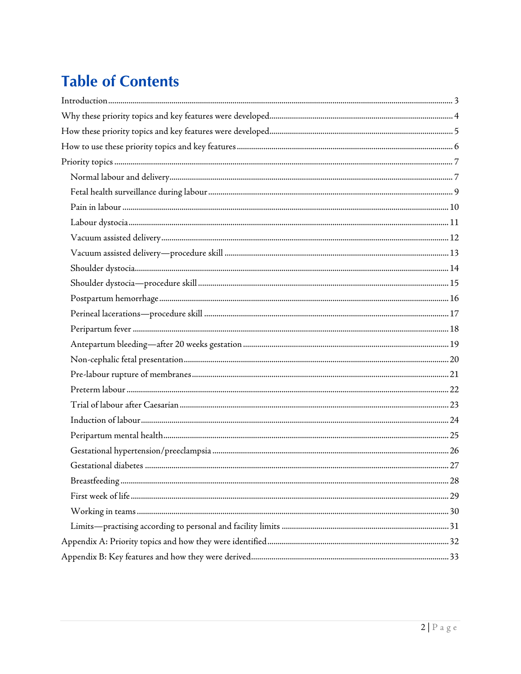# **Table of Contents**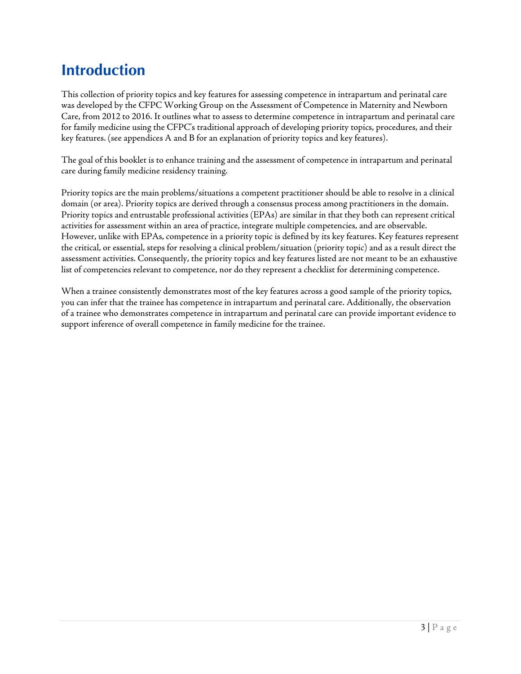## <span id="page-3-0"></span>**Introduction**

This collection of priority topics and key features for assessing competence in intrapartum and perinatal care was developed by the CFPC Working Group on the Assessment of Competence in Maternity and Newborn Care, from 2012 to 2016. It outlines what to assess to determine competence in intrapartum and perinatal care for family medicine using the CFPC's traditional approach of developing priority topics, procedures, and their key features. (see appendices A and B for an explanation of priority topics and key features).

The goal of this booklet is to enhance training and the assessment of competence in intrapartum and perinatal care during family medicine residency training.

Priority topics are the main problems/situations a competent practitioner should be able to resolve in a clinical domain (or area). Priority topics are derived through a consensus process among practitioners in the domain. Priority topics and entrustable professional activities (EPAs) are similar in that they both can represent critical activities for assessment within an area of practice, integrate multiple competencies, and are observable. However, unlike with EPAs, competence in a priority topic is defined by its key features. Key features represent the critical, or essential, steps for resolving a clinical problem/situation (priority topic) and as a result direct the assessment activities. Consequently, the priority topics and key features listed are not meant to be an exhaustive list of competencies relevant to competence, nor do they represent a checklist for determining competence.

When a trainee consistently demonstrates most of the key features across a good sample of the priority topics, you can infer that the trainee has competence in intrapartum and perinatal care. Additionally, the observation of a trainee who demonstrates competence in intrapartum and perinatal care can provide important evidence to support inference of overall competence in family medicine for the trainee.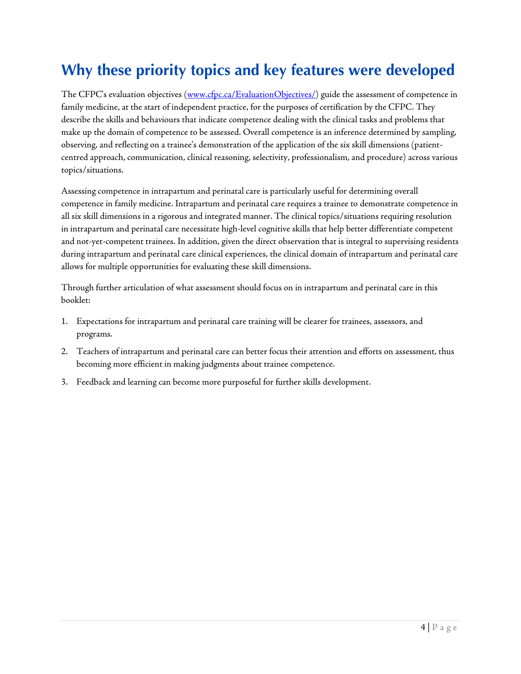## <span id="page-4-0"></span>**Why these priority topics and key features were developed**

The CFPC's evaluation objectives [\(www.cfpc.ca/EvaluationObjectives/\)](http://www.cfpc.ca/EvaluationObjectives/) guide the assessment of competence in family medicine, at the start of independent practice, for the purposes of certification by the CFPC. They describe the skills and behaviours that indicate competence dealing with the clinical tasks and problems that make up the domain of competence to be assessed. Overall competence is an inference determined by sampling, observing, and reflecting on a trainee's demonstration of the application of the six skill dimensions (patientcentred approach, communication, clinical reasoning, selectivity, professionalism, and procedure) across various topics/situations.

Assessing competence in intrapartum and perinatal care is particularly useful for determining overall competence in family medicine. Intrapartum and perinatal care requires a trainee to demonstrate competence in all six skill dimensions in a rigorous and integrated manner. The clinical topics/situations requiring resolution in intrapartum and perinatal care necessitate high-level cognitive skills that help better differentiate competent and not-yet-competent trainees. In addition, given the direct observation that is integral to supervising residents during intrapartum and perinatal care clinical experiences, the clinical domain of intrapartum and perinatal care allows for multiple opportunities for evaluating these skill dimensions.

Through further articulation of what assessment should focus on in intrapartum and perinatal care in this booklet:

- 1. Expectations for intrapartum and perinatal care training will be clearer for trainees, assessors, and programs.
- 2. Teachers of intrapartum and perinatal care can better focus their attention and efforts on assessment, thus becoming more efficient in making judgments about trainee competence.
- 3. Feedback and learning can become more purposeful for further skills development.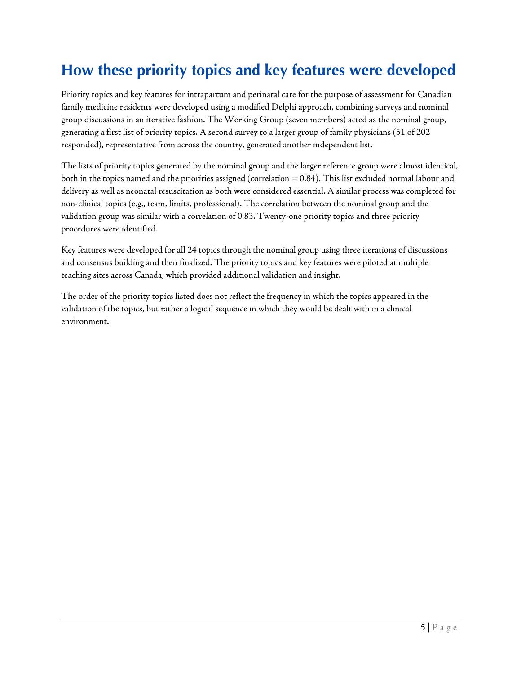## <span id="page-5-0"></span>**How these priority topics and key features were developed**

Priority topics and key features for intrapartum and perinatal care for the purpose of assessment for Canadian family medicine residents were developed using a modified Delphi approach, combining surveys and nominal group discussions in an iterative fashion. The Working Group (seven members) acted as the nominal group, generating a first list of priority topics. A second survey to a larger group of family physicians (51 of 202 responded), representative from across the country, generated another independent list.

The lists of priority topics generated by the nominal group and the larger reference group were almost identical, both in the topics named and the priorities assigned (correlation = 0.84). This list excluded normal labour and delivery as well as neonatal resuscitation as both were considered essential. A similar process was completed for non-clinical topics (e.g., team, limits, professional). The correlation between the nominal group and the validation group was similar with a correlation of 0.83. Twenty-one priority topics and three priority procedures were identified.

Key features were developed for all 24 topics through the nominal group using three iterations of discussions and consensus building and then finalized. The priority topics and key features were piloted at multiple teaching sites across Canada, which provided additional validation and insight.

The order of the priority topics listed does not reflect the frequency in which the topics appeared in the validation of the topics, but rather a logical sequence in which they would be dealt with in a clinical environment.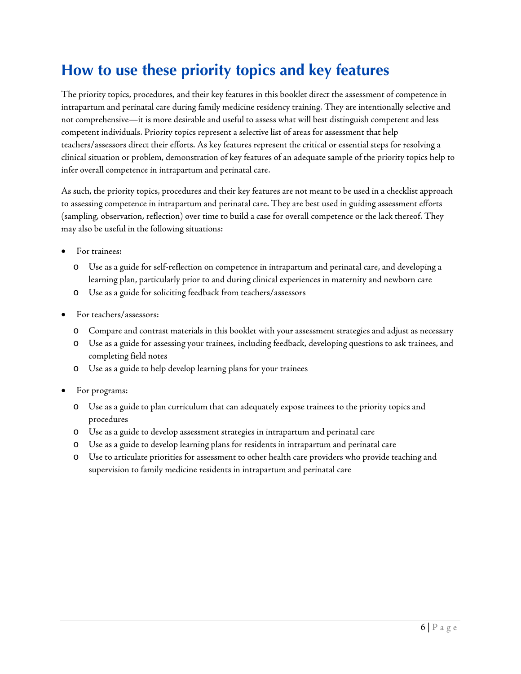#### <span id="page-6-0"></span>**How to use these priority topics and key features**

The priority topics, procedures, and their key features in this booklet direct the assessment of competence in intrapartum and perinatal care during family medicine residency training. They are intentionally selective and not comprehensive—it is more desirable and useful to assess what will best distinguish competent and less competent individuals. Priority topics represent a selective list of areas for assessment that help teachers/assessors direct their efforts. As key features represent the critical or essential steps for resolving a clinical situation or problem, demonstration of key features of an adequate sample of the priority topics help to infer overall competence in intrapartum and perinatal care.

As such, the priority topics, procedures and their key features are not meant to be used in a checklist approach to assessing competence in intrapartum and perinatal care. They are best used in guiding assessment efforts (sampling, observation, reflection) over time to build a case for overall competence or the lack thereof. They may also be useful in the following situations:

- For trainees:
	- o Use as a guide for self-reflection on competence in intrapartum and perinatal care, and developing a learning plan, particularly prior to and during clinical experiences in maternity and newborn care
	- o Use as a guide for soliciting feedback from teachers/assessors
- For teachers/assessors:
	- o Compare and contrast materials in this booklet with your assessment strategies and adjust as necessary
	- o Use as a guide for assessing your trainees, including feedback, developing questions to ask trainees, and completing field notes
	- o Use as a guide to help develop learning plans for your trainees
- For programs:
	- o Use as a guide to plan curriculum that can adequately expose trainees to the priority topics and procedures
	- o Use as a guide to develop assessment strategies in intrapartum and perinatal care
	- o Use as a guide to develop learning plans for residents in intrapartum and perinatal care
	- o Use to articulate priorities for assessment to other health care providers who provide teaching and supervision to family medicine residents in intrapartum and perinatal care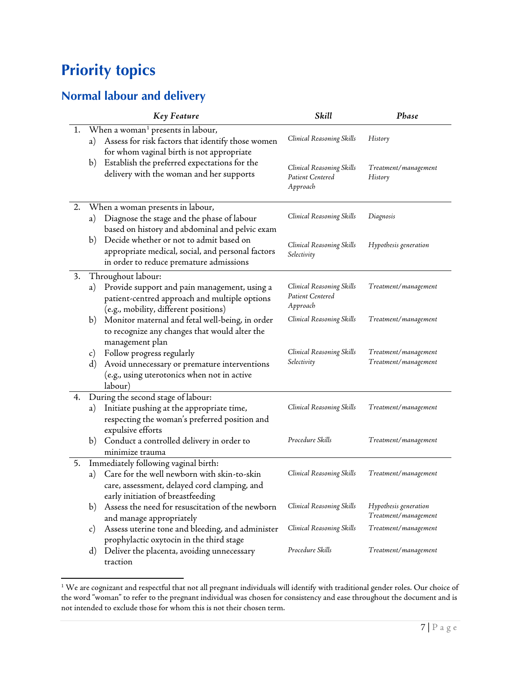## <span id="page-7-0"></span>**Priority topics**

l

#### <span id="page-7-1"></span>**Normal labour and delivery**

|    |               | <b>Key Feature</b>                                                                                                                              | Skill                                                     | Phase                                         |
|----|---------------|-------------------------------------------------------------------------------------------------------------------------------------------------|-----------------------------------------------------------|-----------------------------------------------|
| 1. | a)            | When a woman <sup>1</sup> presents in labour,<br>Assess for risk factors that identify those women<br>for whom vaginal birth is not appropriate | Clinical Reasoning Skills                                 | History                                       |
|    | b)            | Establish the preferred expectations for the<br>delivery with the woman and her supports                                                        | Clinical Reasoning Skills<br>Patient Centered<br>Approach | Treatment/management<br>History               |
| 2. |               | When a woman presents in labour,                                                                                                                |                                                           |                                               |
|    | a)            | Diagnose the stage and the phase of labour<br>based on history and abdominal and pelvic exam                                                    | Clinical Reasoning Skills                                 | Diagnosis                                     |
|    | b)            | Decide whether or not to admit based on<br>appropriate medical, social, and personal factors<br>in order to reduce premature admissions         | Clinical Reasoning Skills<br>Selectivity                  | Hypothesis generation                         |
| 3. |               | Throughout labour:                                                                                                                              |                                                           |                                               |
|    | a)            | Provide support and pain management, using a<br>patient-centred approach and multiple options<br>(e.g., mobility, different positions)          | Clinical Reasoning Skills<br>Patient Centered<br>Approach | Treatment/management                          |
|    | b)            | Monitor maternal and fetal well-being, in order<br>to recognize any changes that would alter the<br>management plan                             | Clinical Reasoning Skills                                 | Treatment/management                          |
|    | c)<br>d)      | Follow progress regularly<br>Avoid unnecessary or premature interventions<br>(e.g., using uterotonics when not in active<br>labour)             | Clinical Reasoning Skills<br>Selectivity                  | Treatment/management<br>Treatment/management  |
| 4. |               | During the second stage of labour:                                                                                                              |                                                           |                                               |
|    | a)            | Initiate pushing at the appropriate time,<br>respecting the woman's preferred position and<br>expulsive efforts                                 | Clinical Reasoning Skills                                 | Treatment/management                          |
|    | b)            | Conduct a controlled delivery in order to                                                                                                       | Procedure Skills                                          | Treatment/management                          |
|    |               | minimize trauma                                                                                                                                 |                                                           |                                               |
| 5. |               | Immediately following vaginal birth:                                                                                                            |                                                           |                                               |
|    | a)            | Care for the well newborn with skin-to-skin<br>care, assessment, delayed cord clamping, and<br>early initiation of breastfeeding                | Clinical Reasoning Skills                                 | Treatment/management                          |
|    | b)            | Assess the need for resuscitation of the newborn<br>and manage appropriately                                                                    | Clinical Reasoning Skills                                 | Hypothesis generation<br>Treatment/management |
|    | $\mathbf{c})$ | Assess uterine tone and bleeding, and administer<br>prophylactic oxytocin in the third stage                                                    | Clinical Reasoning Skills                                 | Treatment/management                          |
|    | $\mathbf{d}$  | Deliver the placenta, avoiding unnecessary<br>traction                                                                                          | Procedure Skills                                          | Treatment/management                          |

<span id="page-7-2"></span> $1$  We are cognizant and respectful that not all pregnant individuals will identify with traditional gender roles. Our choice of the word "woman" to refer to the pregnant individual was chosen for consistency and ease throughout the document and is not intended to exclude those for whom this is not their chosen term.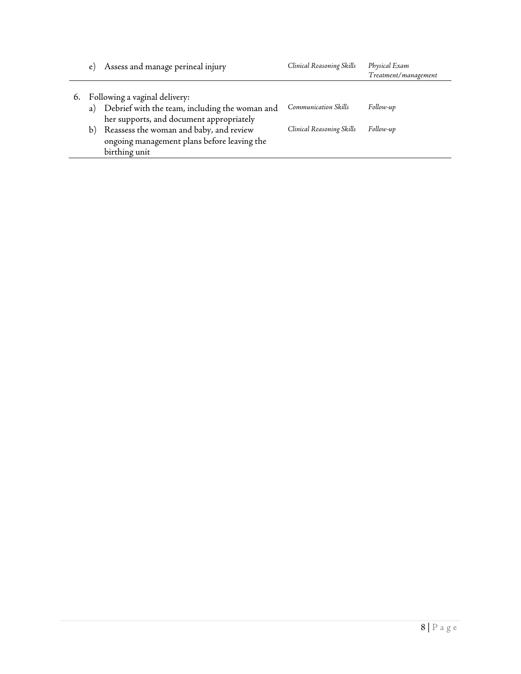| $\epsilon$ ) | Assess and manage perineal injury                                                                       | Clinical Reasoning Skills | Physical Exam<br>Treatment/management |
|--------------|---------------------------------------------------------------------------------------------------------|---------------------------|---------------------------------------|
|              | 6. Following a vaginal delivery:                                                                        |                           |                                       |
|              | a) Debrief with the team, including the woman and<br>her supports, and document appropriately           | Communication Skills      | Follow-up                             |
| b)           | Reassess the woman and baby, and review<br>ongoing management plans before leaving the<br>birthing unit | Clinical Reasoning Skills | Follow-up                             |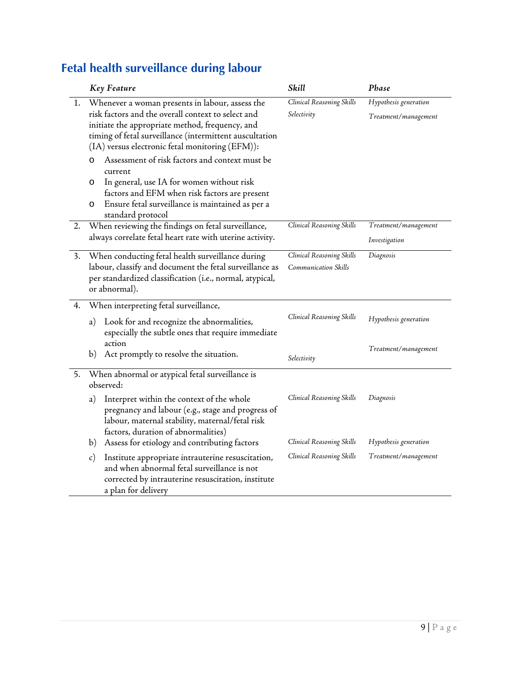## <span id="page-9-0"></span>**Fetal health surveillance during labour**

|    | <b>Key Feature</b>                                                                                                                                                                                                                                                     | Skill                                             | Phase                                         |
|----|------------------------------------------------------------------------------------------------------------------------------------------------------------------------------------------------------------------------------------------------------------------------|---------------------------------------------------|-----------------------------------------------|
| 1. | Whenever a woman presents in labour, assess the<br>risk factors and the overall context to select and<br>initiate the appropriate method, frequency, and<br>timing of fetal surveillance (intermittent auscultation<br>(IA) versus electronic fetal monitoring (EFM)): | Clinical Reasoning Skills<br>Selectivity          | Hypothesis generation<br>Treatment/management |
|    | Assessment of risk factors and context must be<br>O<br>current<br>In general, use IA for women without risk<br>O                                                                                                                                                       |                                                   |                                               |
|    | factors and EFM when risk factors are present<br>Ensure fetal surveillance is maintained as per a<br>O<br>standard protocol                                                                                                                                            |                                                   |                                               |
| 2. | When reviewing the findings on fetal surveillance,<br>always correlate fetal heart rate with uterine activity.                                                                                                                                                         | Clinical Reasoning Skills                         | Treatment/management<br>Investigation         |
| 3. | When conducting fetal health surveillance during<br>labour, classify and document the fetal surveillance as<br>per standardized classification (i.e., normal, atypical,<br>or abnormal).                                                                               | Clinical Reasoning Skills<br>Communication Skills | Diagnosis                                     |
| 4. | When interpreting fetal surveillance,                                                                                                                                                                                                                                  |                                                   |                                               |
|    | Look for and recognize the abnormalities,<br>a)<br>especially the subtle ones that require immediate<br>action                                                                                                                                                         | Clinical Reasoning Skills                         | Hypothesis generation                         |
|    | Act promptly to resolve the situation.<br>b)                                                                                                                                                                                                                           | Selectivity                                       | Treatment/management                          |
| 5. | When abnormal or atypical fetal surveillance is<br>observed:                                                                                                                                                                                                           |                                                   |                                               |
|    | Interpret within the context of the whole<br>a)<br>pregnancy and labour (e.g., stage and progress of<br>labour, maternal stability, maternal/fetal risk<br>factors, duration of abnormalities)                                                                         | Clinical Reasoning Skills                         | Diagnosis                                     |
|    | Assess for etiology and contributing factors<br>b)                                                                                                                                                                                                                     | Clinical Reasoning Skills                         | Hypothesis generation                         |
|    | Institute appropriate intrauterine resuscitation,<br>c)<br>and when abnormal fetal surveillance is not<br>corrected by intrauterine resuscitation, institute<br>a plan for delivery                                                                                    | Clinical Reasoning Skills                         | Treatment/management                          |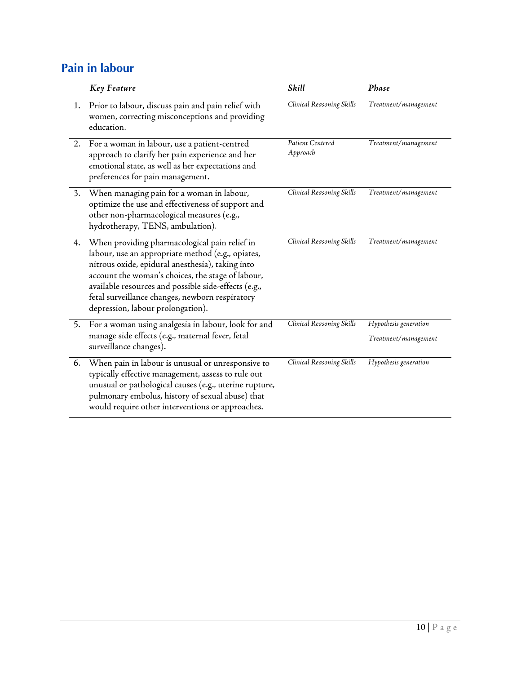#### <span id="page-10-0"></span>**Pain in labour**

|    | Key Feature                                                                                                                                                                                                                                                                                                                                                 | Skill                        | Phase                                         |
|----|-------------------------------------------------------------------------------------------------------------------------------------------------------------------------------------------------------------------------------------------------------------------------------------------------------------------------------------------------------------|------------------------------|-----------------------------------------------|
| 1. | Prior to labour, discuss pain and pain relief with<br>women, correcting misconceptions and providing<br>education.                                                                                                                                                                                                                                          | Clinical Reasoning Skills    | Treatment/management                          |
| 2. | For a woman in labour, use a patient-centred<br>approach to clarify her pain experience and her<br>emotional state, as well as her expectations and<br>preferences for pain management.                                                                                                                                                                     | Patient Centered<br>Approach | Treatment/management                          |
| 3. | When managing pain for a woman in labour,<br>optimize the use and effectiveness of support and<br>other non-pharmacological measures (e.g.,<br>hydrotherapy, TENS, ambulation).                                                                                                                                                                             | Clinical Reasoning Skills    | Treatment/management                          |
| 4. | When providing pharmacological pain relief in<br>labour, use an appropriate method (e.g., opiates,<br>nitrous oxide, epidural anesthesia), taking into<br>account the woman's choices, the stage of labour,<br>available resources and possible side-effects (e.g.,<br>fetal surveillance changes, newborn respiratory<br>depression, labour prolongation). | Clinical Reasoning Skills    | Treatment/management                          |
| 5. | For a woman using analgesia in labour, look for and<br>manage side effects (e.g., maternal fever, fetal<br>surveillance changes).                                                                                                                                                                                                                           | Clinical Reasoning Skills    | Hypothesis generation<br>Treatment/management |
| 6. | When pain in labour is unusual or unresponsive to<br>typically effective management, assess to rule out<br>unusual or pathological causes (e.g., uterine rupture,<br>pulmonary embolus, history of sexual abuse) that<br>would require other interventions or approaches.                                                                                   | Clinical Reasoning Skills    | Hypothesis generation                         |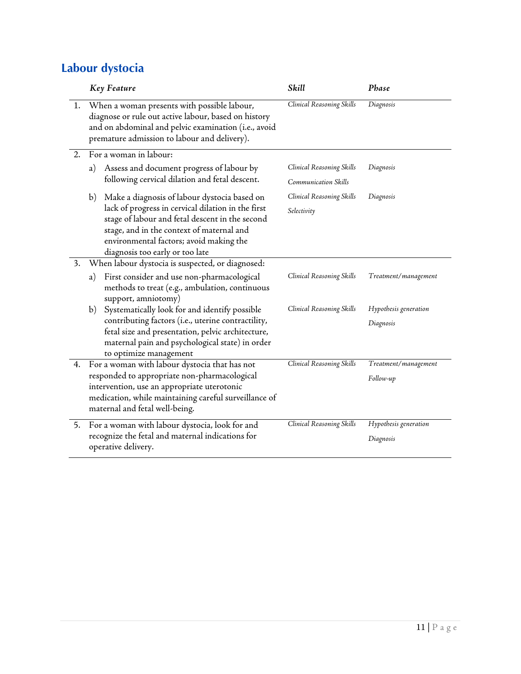#### <span id="page-11-0"></span>**Labour dystocia**

|    | <b>Key Feature</b>                                                                                                                                                                                                               | Skill                                             | Phase                              |
|----|----------------------------------------------------------------------------------------------------------------------------------------------------------------------------------------------------------------------------------|---------------------------------------------------|------------------------------------|
| 1. | When a woman presents with possible labour,<br>diagnose or rule out active labour, based on history<br>and on abdominal and pelvic examination (i.e., avoid<br>premature admission to labour and delivery).                      | Clinical Reasoning Skills                         | Diagnosis                          |
| 2. | For a woman in labour:                                                                                                                                                                                                           |                                                   |                                    |
|    | Assess and document progress of labour by<br>a)<br>following cervical dilation and fetal descent.                                                                                                                                | Clinical Reasoning Skills<br>Communication Skills | Diagnosis                          |
|    | Make a diagnosis of labour dystocia based on<br>b)                                                                                                                                                                               | Clinical Reasoning Skills                         | Diagnosis                          |
|    | lack of progress in cervical dilation in the first<br>stage of labour and fetal descent in the second<br>stage, and in the context of maternal and<br>environmental factors; avoid making the<br>diagnosis too early or too late | Selectivity                                       |                                    |
| 3. | When labour dystocia is suspected, or diagnosed:                                                                                                                                                                                 |                                                   |                                    |
|    | First consider and use non-pharmacological<br>a)<br>methods to treat (e.g., ambulation, continuous<br>support, amniotomy)                                                                                                        | Clinical Reasoning Skills                         | Treatment/management               |
|    | Systematically look for and identify possible<br>b)                                                                                                                                                                              | Clinical Reasoning Skills                         | Hypothesis generation              |
|    | contributing factors (i.e., uterine contractility,<br>fetal size and presentation, pelvic architecture,<br>maternal pain and psychological state) in order<br>to optimize management                                             |                                                   | Diagnosis                          |
| 4. | For a woman with labour dystocia that has not                                                                                                                                                                                    | Clinical Reasoning Skills                         | Treatment/management               |
|    | responded to appropriate non-pharmacological<br>intervention, use an appropriate uterotonic<br>medication, while maintaining careful surveillance of<br>maternal and fetal well-being.                                           |                                                   | Follow-up                          |
| 5. | For a woman with labour dystocia, look for and<br>recognize the fetal and maternal indications for<br>operative delivery.                                                                                                        | Clinical Reasoning Skills                         | Hypothesis generation<br>Diagnosis |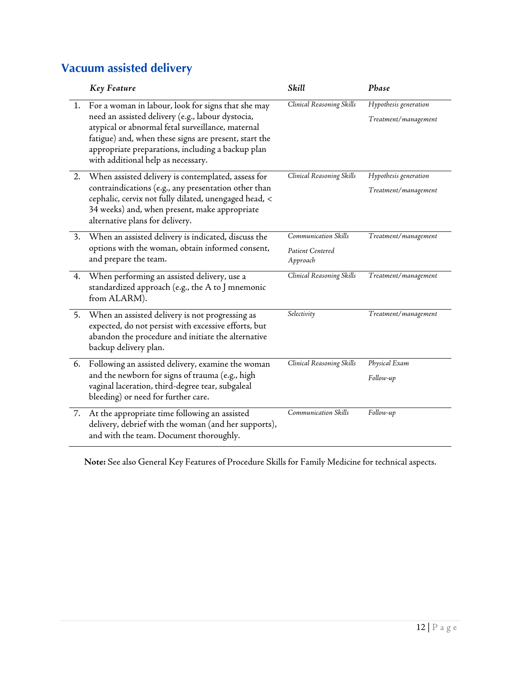#### <span id="page-12-0"></span>**Vacuum assisted delivery**

|    | <b>Key Feature</b>                                                                                                                                                                                                                                                                                                  | Skill                                                | Phase                                         |
|----|---------------------------------------------------------------------------------------------------------------------------------------------------------------------------------------------------------------------------------------------------------------------------------------------------------------------|------------------------------------------------------|-----------------------------------------------|
|    | 1. For a woman in labour, look for signs that she may<br>need an assisted delivery (e.g., labour dystocia,<br>atypical or abnormal fetal surveillance, maternal<br>fatigue) and, when these signs are present, start the<br>appropriate preparations, including a backup plan<br>with additional help as necessary. | Clinical Reasoning Skills                            | Hypothesis generation<br>Treatment/management |
| 2. | When assisted delivery is contemplated, assess for<br>contraindications (e.g., any presentation other than<br>cephalic, cervix not fully dilated, unengaged head, <<br>34 weeks) and, when present, make appropriate<br>alternative plans for delivery.                                                             | Clinical Reasoning Skills                            | Hypothesis generation<br>Treatment/management |
| 3. | When an assisted delivery is indicated, discuss the<br>options with the woman, obtain informed consent,<br>and prepare the team.                                                                                                                                                                                    | Communication Skills<br>Patient Centered<br>Approach | Treatment/management                          |
| 4. | When performing an assisted delivery, use a<br>standardized approach (e.g., the A to J mnemonic<br>from ALARM).                                                                                                                                                                                                     | Clinical Reasoning Skills                            | Treatment/management                          |
| 5. | When an assisted delivery is not progressing as<br>expected, do not persist with excessive efforts, but<br>abandon the procedure and initiate the alternative<br>backup delivery plan.                                                                                                                              | Selectivity                                          | Treatment/management                          |
| 6. | Following an assisted delivery, examine the woman<br>and the newborn for signs of trauma (e.g., high<br>vaginal laceration, third-degree tear, subgaleal<br>bleeding) or need for further care.                                                                                                                     | Clinical Reasoning Skills                            | Physical Exam<br>Follow-up                    |
| 7. | At the appropriate time following an assisted<br>delivery, debrief with the woman (and her supports),<br>and with the team. Document thoroughly.                                                                                                                                                                    | Communication Skills                                 | Follow-up                                     |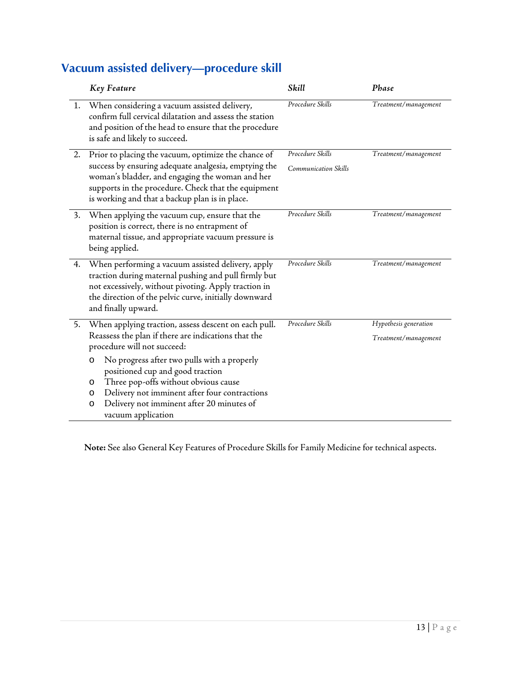#### <span id="page-13-0"></span>**Vacuum assisted delivery—procedure skill**

|    | Key Feature                                                                                                                                                                                                                                                                       | Skill                                           | Phase                                         |
|----|-----------------------------------------------------------------------------------------------------------------------------------------------------------------------------------------------------------------------------------------------------------------------------------|-------------------------------------------------|-----------------------------------------------|
| 1. | When considering a vacuum assisted delivery,<br>confirm full cervical dilatation and assess the station<br>and position of the head to ensure that the procedure<br>is safe and likely to succeed.                                                                                | Procedure Skills                                | Treatment/management                          |
| 2. | Prior to placing the vacuum, optimize the chance of<br>success by ensuring adequate analgesia, emptying the<br>woman's bladder, and engaging the woman and her<br>supports in the procedure. Check that the equipment<br>is working and that a backup plan is in place.           | Procedure Skills<br><b>Communication Skills</b> | Treatment/management                          |
| 3. | When applying the vacuum cup, ensure that the<br>position is correct, there is no entrapment of<br>maternal tissue, and appropriate vacuum pressure is<br>being applied.                                                                                                          | Procedure Skills                                | Treatment/management                          |
| 4. | When performing a vacuum assisted delivery, apply<br>traction during maternal pushing and pull firmly but<br>not excessively, without pivoting. Apply traction in<br>the direction of the pelvic curve, initially downward<br>and finally upward.                                 | Procedure Skills                                | Treatment/management                          |
| 5. | When applying traction, assess descent on each pull.<br>Reassess the plan if there are indications that the<br>procedure will not succeed:                                                                                                                                        | Procedure Skills                                | Hypothesis generation<br>Treatment/management |
|    | No progress after two pulls with a properly<br>$\circ$<br>positioned cup and good traction<br>Three pop-offs without obvious cause<br>O<br>Delivery not imminent after four contractions<br>$\circ$<br>Delivery not imminent after 20 minutes of<br>$\circ$<br>vacuum application |                                                 |                                               |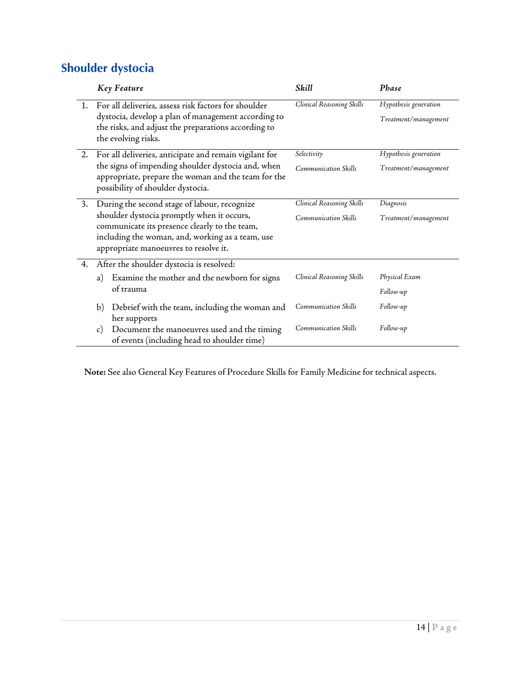#### <span id="page-14-0"></span>**Shoulder dystocia**

| Key Feature                                                                                                                                                                                                                              | Skill                                                    | Phase                                         |
|------------------------------------------------------------------------------------------------------------------------------------------------------------------------------------------------------------------------------------------|----------------------------------------------------------|-----------------------------------------------|
| For all deliveries, assess risk factors for shoulder<br>dystocia, develop a plan of management according to<br>the risks, and adjust the preparations according to<br>the evolving risks.                                                | Clinical Reasoning Skills                                | Hypothesis generation<br>Treatment/management |
| For all deliveries, anticipate and remain vigilant for<br>the signs of impending shoulder dystocia and, when<br>appropriate, prepare the woman and the team for the<br>possibility of shoulder dystocia.                                 | Selectivity<br><b>Communication Skills</b>               | Hypothesis generation<br>Treatment/management |
| During the second stage of labour, recognize<br>shoulder dystocia promptly when it occurs,<br>communicate its presence clearly to the team,<br>including the woman, and, working as a team, use<br>appropriate manoeuvres to resolve it. | Clinical Reasoning Skills<br><b>Communication Skills</b> | Diagnosis<br>Treatment/management             |
| After the shoulder dystocia is resolved:<br>Examine the mother and the newborn for signs<br>a)<br>of trauma                                                                                                                              | Clinical Reasoning Skills                                | Physical Exam<br>Follow-up                    |
| Debrief with the team, including the woman and<br>$\mathbf{b}$<br>her supports<br>Document the manoeuvres used and the timing<br>$\mathcal{C}$ )                                                                                         | Communication Skills<br>Communication Skills             | Follow-up<br>Follow-up                        |
|                                                                                                                                                                                                                                          | of events (including head to shoulder time)              |                                               |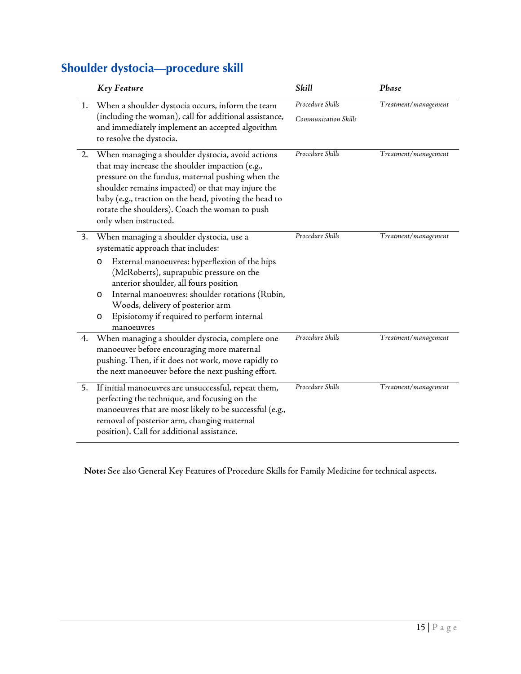#### <span id="page-15-0"></span>**Shoulder dystocia—procedure skill**

|    | Key Feature                                                                                                                                                                                                                                                                                                                                                                           | Skill                                    | Phase                |
|----|---------------------------------------------------------------------------------------------------------------------------------------------------------------------------------------------------------------------------------------------------------------------------------------------------------------------------------------------------------------------------------------|------------------------------------------|----------------------|
| 1. | When a shoulder dystocia occurs, inform the team<br>(including the woman), call for additional assistance,<br>and immediately implement an accepted algorithm<br>to resolve the dystocia.                                                                                                                                                                                             | Procedure Skills<br>Communication Skills | Treatment/management |
| 2. | When managing a shoulder dystocia, avoid actions<br>that may increase the shoulder impaction (e.g.,<br>pressure on the fundus, maternal pushing when the<br>shoulder remains impacted) or that may injure the<br>baby (e.g., traction on the head, pivoting the head to<br>rotate the shoulders). Coach the woman to push<br>only when instructed.                                    | Procedure Skills                         | Treatment/management |
| 3. | When managing a shoulder dystocia, use a<br>systematic approach that includes:<br>External manoeuvres: hyperflexion of the hips<br>O<br>(McRoberts), suprapubic pressure on the<br>anterior shoulder, all fours position<br>Internal manoeuvres: shoulder rotations (Rubin,<br>O<br>Woods, delivery of posterior arm<br>Episiotomy if required to perform internal<br>O<br>manoeuvres | Procedure Skills                         | Treatment/management |
| 4. | When managing a shoulder dystocia, complete one<br>manoeuver before encouraging more maternal<br>pushing. Then, if it does not work, move rapidly to<br>the next manoeuver before the next pushing effort.                                                                                                                                                                            | Procedure Skills                         | Treatment/management |
| 5. | If initial manoeuvres are unsuccessful, repeat them,<br>perfecting the technique, and focusing on the<br>manoeuvres that are most likely to be successful (e.g.,<br>removal of posterior arm, changing maternal<br>position). Call for additional assistance.                                                                                                                         | Procedure Skills                         | Treatment/management |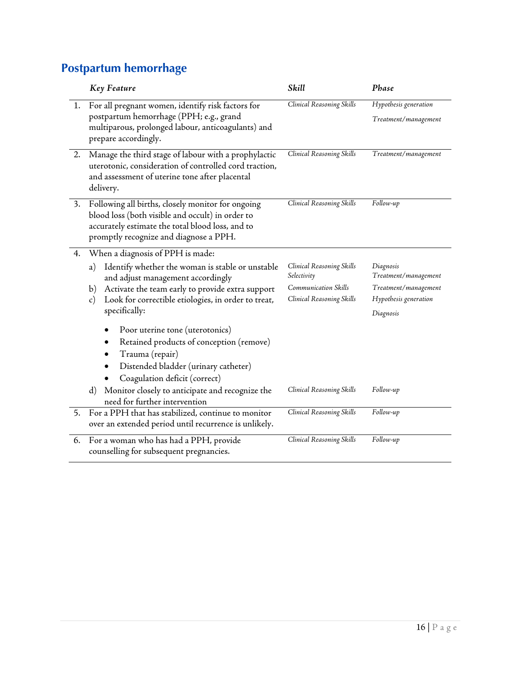#### <span id="page-16-0"></span>**Postpartum hemorrhage**

|    | <b>Key Feature</b>                                                                                                                                                                                                                                                                 | Skill                                                                                         | Phase                                                                                           |
|----|------------------------------------------------------------------------------------------------------------------------------------------------------------------------------------------------------------------------------------------------------------------------------------|-----------------------------------------------------------------------------------------------|-------------------------------------------------------------------------------------------------|
| 1. | For all pregnant women, identify risk factors for<br>postpartum hemorrhage (PPH; e.g., grand<br>multiparous, prolonged labour, anticoagulants) and<br>prepare accordingly.                                                                                                         | Clinical Reasoning Skills                                                                     | Hypothesis generation<br>Treatment/management                                                   |
| 2. | Manage the third stage of labour with a prophylactic<br>uterotonic, consideration of controlled cord traction,<br>and assessment of uterine tone after placental<br>delivery.                                                                                                      | Clinical Reasoning Skills                                                                     | Treatment/management                                                                            |
| 3. | Following all births, closely monitor for ongoing<br>blood loss (both visible and occult) in order to<br>accurately estimate the total blood loss, and to<br>promptly recognize and diagnose a PPH.                                                                                | Clinical Reasoning Skills                                                                     | Follow-up                                                                                       |
| 4. | When a diagnosis of PPH is made:<br>Identify whether the woman is stable or unstable<br>a)<br>and adjust management accordingly<br>Activate the team early to provide extra support<br>b)<br>Look for correctible etiologies, in order to treat,<br>$\mathbf{c})$<br>specifically: | Clinical Reasoning Skills<br>Selectivity<br>Communication Skills<br>Clinical Reasoning Skills | Diagnosis<br>Treatment/management<br>Treatment/management<br>Hypothesis generation<br>Diagnosis |
|    | Poor uterine tone (uterotonics)<br>Retained products of conception (remove)<br>Trauma (repair)<br>Distended bladder (urinary catheter)<br>Coagulation deficit (correct)<br>Monitor closely to anticipate and recognize the<br>$\rm d$<br>need for further intervention             | Clinical Reasoning Skills                                                                     | Follow-up                                                                                       |
| 5. | For a PPH that has stabilized, continue to monitor<br>over an extended period until recurrence is unlikely.                                                                                                                                                                        | Clinical Reasoning Skills                                                                     | Follow-up                                                                                       |
| 6. | For a woman who has had a PPH, provide<br>counselling for subsequent pregnancies.                                                                                                                                                                                                  | Clinical Reasoning Skills                                                                     | Follow-up                                                                                       |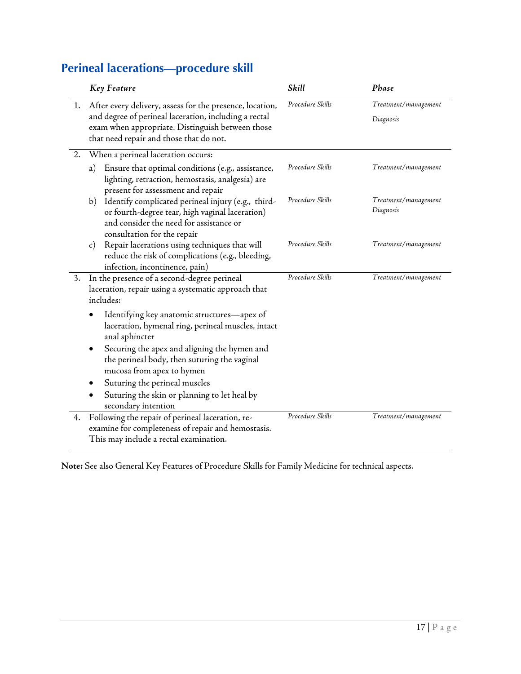## <span id="page-17-0"></span>**Perineal lacerations—procedure skill**

|    | <b>Key Feature</b>                                                                                                                                                                                                  | Skill            | Phase                             |
|----|---------------------------------------------------------------------------------------------------------------------------------------------------------------------------------------------------------------------|------------------|-----------------------------------|
|    | 1. After every delivery, assess for the presence, location,<br>and degree of perineal laceration, including a rectal<br>exam when appropriate. Distinguish between those<br>that need repair and those that do not. | Procedure Skills | Treatment/management<br>Diagnosis |
| 2. | When a perineal laceration occurs:                                                                                                                                                                                  |                  |                                   |
|    | Ensure that optimal conditions (e.g., assistance,<br>a)<br>lighting, retraction, hemostasis, analgesia) are<br>present for assessment and repair                                                                    | Procedure Skills | Treatment/management              |
|    | Identify complicated perineal injury (e.g., third-<br>b)<br>or fourth-degree tear, high vaginal laceration)<br>and consider the need for assistance or<br>consultation for the repair                               | Procedure Skills | Treatment/management<br>Diagnosis |
|    | Repair lacerations using techniques that will<br>$\mathbf{c})$<br>reduce the risk of complications (e.g., bleeding,<br>infection, incontinence, pain)                                                               | Procedure Skills | Treatment/management              |
| 3. | In the presence of a second-degree perineal<br>laceration, repair using a systematic approach that<br>includes:                                                                                                     | Procedure Skills | Treatment/management              |
|    | Identifying key anatomic structures-apex of<br>laceration, hymenal ring, perineal muscles, intact<br>anal sphincter                                                                                                 |                  |                                   |
|    | Securing the apex and aligning the hymen and<br>the perineal body, then suturing the vaginal<br>mucosa from apex to hymen                                                                                           |                  |                                   |
|    | Suturing the perineal muscles                                                                                                                                                                                       |                  |                                   |
|    | Suturing the skin or planning to let heal by<br>secondary intention                                                                                                                                                 |                  |                                   |
| 4. | Following the repair of perineal laceration, re-<br>examine for completeness of repair and hemostasis.<br>This may include a rectal examination.                                                                    | Procedure Skills | Treatment/management              |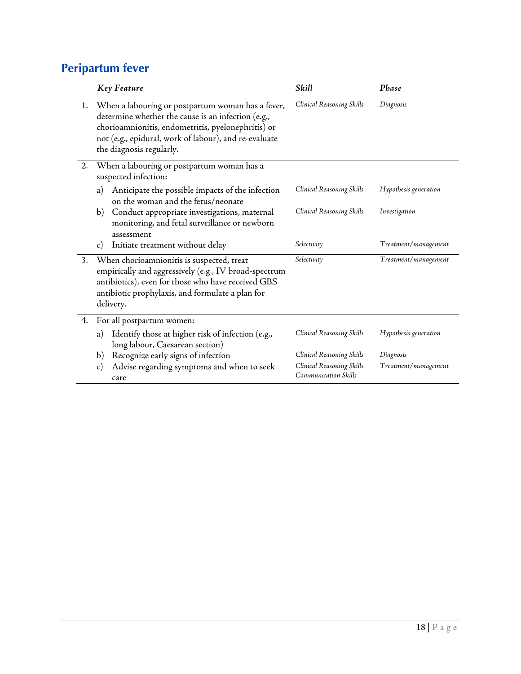## <span id="page-18-0"></span>**Peripartum fever**

|    | <b>Key Feature</b>                                                                                                                                                                                                                                 | Skill                                             | Phase                 |
|----|----------------------------------------------------------------------------------------------------------------------------------------------------------------------------------------------------------------------------------------------------|---------------------------------------------------|-----------------------|
| 1. | When a labouring or postpartum woman has a fever,<br>determine whether the cause is an infection (e.g.,<br>chorioamnionitis, endometritis, pyelonephritis) or<br>not (e.g., epidural, work of labour), and re-evaluate<br>the diagnosis regularly. | Clinical Reasoning Skills                         | Diagnosis             |
| 2. | When a labouring or postpartum woman has a<br>suspected infection:                                                                                                                                                                                 |                                                   |                       |
|    | Anticipate the possible impacts of the infection<br>a)<br>on the woman and the fetus/neonate                                                                                                                                                       | Clinical Reasoning Skills                         | Hypothesis generation |
|    | Conduct appropriate investigations, maternal<br>b)<br>monitoring, and fetal surveillance or newborn<br>assessment                                                                                                                                  | Clinical Reasoning Skills                         | Investigation         |
|    | Initiate treatment without delay<br>$\mathbf{c})$                                                                                                                                                                                                  | Selectivity                                       | Treatment/management  |
| 3. | When chorioamnionitis is suspected, treat<br>empirically and aggressively (e.g., IV broad-spectrum<br>antibiotics), even for those who have received GBS<br>antibiotic prophylaxis, and formulate a plan for<br>delivery.                          | Selectivity                                       | Treatment/management  |
| 4. | For all postpartum women:                                                                                                                                                                                                                          |                                                   |                       |
|    | Identify those at higher risk of infection (e.g.,<br>a)<br>long labour, Caesarean section)                                                                                                                                                         | Clinical Reasoning Skills                         | Hypothesis generation |
|    | Recognize early signs of infection<br>b)                                                                                                                                                                                                           | Clinical Reasoning Skills                         | Diagnosis             |
|    | Advise regarding symptoms and when to seek<br>$\mathbf{c})$<br>care                                                                                                                                                                                | Clinical Reasoning Skills<br>Communication Skills | Treatment/management  |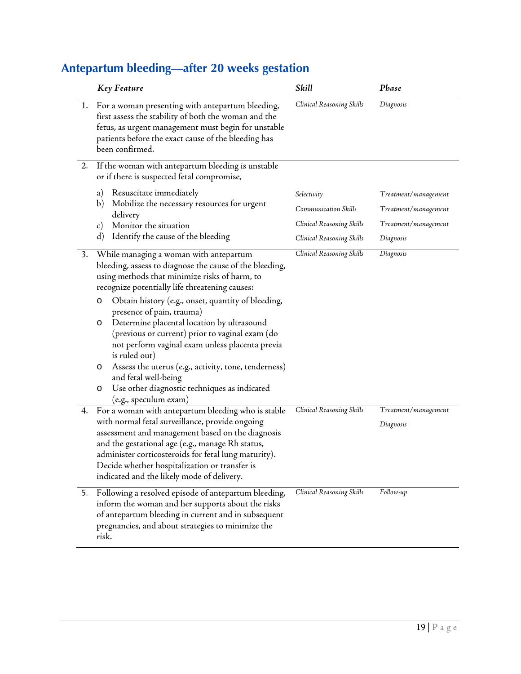|    | Key Feature                                                                                                                                                                                                                                                                                                                                                                                                                                                                                                                                                                                                                               | Skill                     | Phase                             |
|----|-------------------------------------------------------------------------------------------------------------------------------------------------------------------------------------------------------------------------------------------------------------------------------------------------------------------------------------------------------------------------------------------------------------------------------------------------------------------------------------------------------------------------------------------------------------------------------------------------------------------------------------------|---------------------------|-----------------------------------|
| 1. | For a woman presenting with antepartum bleeding,<br>first assess the stability of both the woman and the<br>fetus, as urgent management must begin for unstable<br>patients before the exact cause of the bleeding has<br>been confirmed.                                                                                                                                                                                                                                                                                                                                                                                                 | Clinical Reasoning Skills | Diagnosis                         |
| 2. | If the woman with antepartum bleeding is unstable<br>or if there is suspected fetal compromise,                                                                                                                                                                                                                                                                                                                                                                                                                                                                                                                                           |                           |                                   |
|    | Resuscitate immediately<br>a)                                                                                                                                                                                                                                                                                                                                                                                                                                                                                                                                                                                                             | Selectivity               | Treatment/management              |
|    | Mobilize the necessary resources for urgent<br>b)<br>delivery                                                                                                                                                                                                                                                                                                                                                                                                                                                                                                                                                                             | Communication Skills      | Treatment/management              |
|    | Monitor the situation<br>$\mathcal{C}$ )                                                                                                                                                                                                                                                                                                                                                                                                                                                                                                                                                                                                  | Clinical Reasoning Skills | Treatment/management              |
|    | $\rm d$<br>Identify the cause of the bleeding                                                                                                                                                                                                                                                                                                                                                                                                                                                                                                                                                                                             | Clinical Reasoning Skills | Diagnosis                         |
| 3. | While managing a woman with antepartum<br>bleeding, assess to diagnose the cause of the bleeding,<br>using methods that minimize risks of harm, to<br>recognize potentially life threatening causes:<br>Obtain history (e.g., onset, quantity of bleeding,<br>O<br>presence of pain, trauma)<br>Determine placental location by ultrasound<br>O<br>(previous or current) prior to vaginal exam (do<br>not perform vaginal exam unless placenta previa<br>is ruled out)<br>Assess the uterus (e.g., activity, tone, tenderness)<br>O<br>and fetal well-being<br>Use other diagnostic techniques as indicated<br>O<br>(e.g., speculum exam) | Clinical Reasoning Skills | Diagnosis                         |
| 4. | For a woman with antepartum bleeding who is stable<br>with normal fetal surveillance, provide ongoing<br>assessment and management based on the diagnosis<br>and the gestational age (e.g., manage Rh status,<br>administer corticosteroids for fetal lung maturity).<br>Decide whether hospitalization or transfer is<br>indicated and the likely mode of delivery.                                                                                                                                                                                                                                                                      | Clinical Reasoning Skills | Treatment/management<br>Diagnosis |
| 5. | Following a resolved episode of antepartum bleeding,<br>inform the woman and her supports about the risks<br>of antepartum bleeding in current and in subsequent<br>pregnancies, and about strategies to minimize the<br>risk.                                                                                                                                                                                                                                                                                                                                                                                                            | Clinical Reasoning Skills | Follow-up                         |

## <span id="page-19-0"></span>**Antepartum bleeding—after 20 weeks gestation**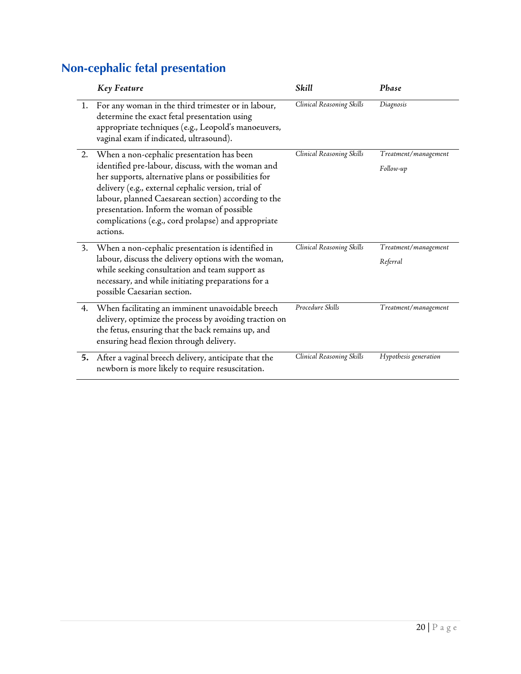## <span id="page-20-0"></span>**Non-cephalic fetal presentation**

|    | <b>Key Feature</b>                                                                                                                                                                                                                                                                                                                                                                     | Skill                     | Phase                             |
|----|----------------------------------------------------------------------------------------------------------------------------------------------------------------------------------------------------------------------------------------------------------------------------------------------------------------------------------------------------------------------------------------|---------------------------|-----------------------------------|
|    | 1. For any woman in the third trimester or in labour,<br>determine the exact fetal presentation using<br>appropriate techniques (e.g., Leopold's manoeuvers,<br>vaginal exam if indicated, ultrasound).                                                                                                                                                                                | Clinical Reasoning Skills | Diagnosis                         |
| 2. | When a non-cephalic presentation has been<br>identified pre-labour, discuss, with the woman and<br>her supports, alternative plans or possibilities for<br>delivery (e.g., external cephalic version, trial of<br>labour, planned Caesarean section) according to the<br>presentation. Inform the woman of possible<br>complications (e.g., cord prolapse) and appropriate<br>actions. | Clinical Reasoning Skills | Treatment/management<br>Follow-up |
| 3. | When a non-cephalic presentation is identified in<br>labour, discuss the delivery options with the woman,<br>while seeking consultation and team support as<br>necessary, and while initiating preparations for a<br>possible Caesarian section.                                                                                                                                       | Clinical Reasoning Skills | Treatment/management<br>Referral  |
| 4. | When facilitating an imminent unavoidable breech<br>delivery, optimize the process by avoiding traction on<br>the fetus, ensuring that the back remains up, and<br>ensuring head flexion through delivery.                                                                                                                                                                             | Procedure Skills          | Treatment/management              |
| 5. | After a vaginal breech delivery, anticipate that the<br>newborn is more likely to require resuscitation.                                                                                                                                                                                                                                                                               | Clinical Reasoning Skills | Hypothesis generation             |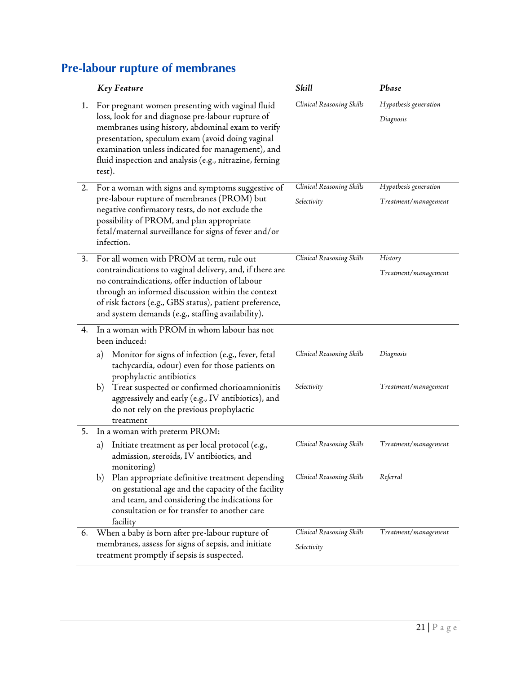|    | <b>Key Feature</b>                                                                                                                                                                                                                                                                                                                       | Skill                                    | Phase                                         |
|----|------------------------------------------------------------------------------------------------------------------------------------------------------------------------------------------------------------------------------------------------------------------------------------------------------------------------------------------|------------------------------------------|-----------------------------------------------|
| 1. | For pregnant women presenting with vaginal fluid<br>loss, look for and diagnose pre-labour rupture of<br>membranes using history, abdominal exam to verify<br>presentation, speculum exam (avoid doing vaginal<br>examination unless indicated for management), and<br>fluid inspection and analysis (e.g., nitrazine, ferning<br>test). | Clinical Reasoning Skills                | Hypothesis generation<br>Diagnosis            |
| 2. | For a woman with signs and symptoms suggestive of<br>pre-labour rupture of membranes (PROM) but<br>negative confirmatory tests, do not exclude the<br>possibility of PROM, and plan appropriate<br>fetal/maternal surveillance for signs of fever and/or<br>infection.                                                                   | Clinical Reasoning Skills<br>Selectivity | Hypothesis generation<br>Treatment/management |
| 3. | For all women with PROM at term, rule out<br>contraindications to vaginal delivery, and, if there are<br>no contraindications, offer induction of labour<br>through an informed discussion within the context<br>of risk factors (e.g., GBS status), patient preference,<br>and system demands (e.g., staffing availability).            | Clinical Reasoning Skills                | History<br>Treatment/management               |
| 4. | In a woman with PROM in whom labour has not<br>been induced:                                                                                                                                                                                                                                                                             |                                          |                                               |
|    | Monitor for signs of infection (e.g., fever, fetal<br>a)<br>tachycardia, odour) even for those patients on<br>prophylactic antibiotics                                                                                                                                                                                                   | Clinical Reasoning Skills                | Diagnosis                                     |
|    | b) Treat suspected or confirmed chorioamnionitis<br>aggressively and early (e.g., IV antibiotics), and<br>do not rely on the previous prophylactic<br>treatment                                                                                                                                                                          | Selectivity                              | Treatment/management                          |
| 5. | In a woman with preterm PROM:                                                                                                                                                                                                                                                                                                            |                                          |                                               |
|    | Initiate treatment as per local protocol (e.g.,<br>a)<br>admission, steroids, IV antibiotics, and<br>monitoring)                                                                                                                                                                                                                         | Clinical Reasoning Skills                | Treatment/management                          |
|    | Plan appropriate definitive treatment depending<br>b)<br>on gestational age and the capacity of the facility<br>and team, and considering the indications for<br>consultation or for transfer to another care<br>facility                                                                                                                | Clinical Reasoning Skills                | Referral                                      |
| 6. | When a baby is born after pre-labour rupture of<br>membranes, assess for signs of sepsis, and initiate                                                                                                                                                                                                                                   | Clinical Reasoning Skills                | Treatment/management                          |
|    | treatment promptly if sepsis is suspected.                                                                                                                                                                                                                                                                                               | Selectivity                              |                                               |

#### <span id="page-21-0"></span>**Pre-labour rupture of membranes**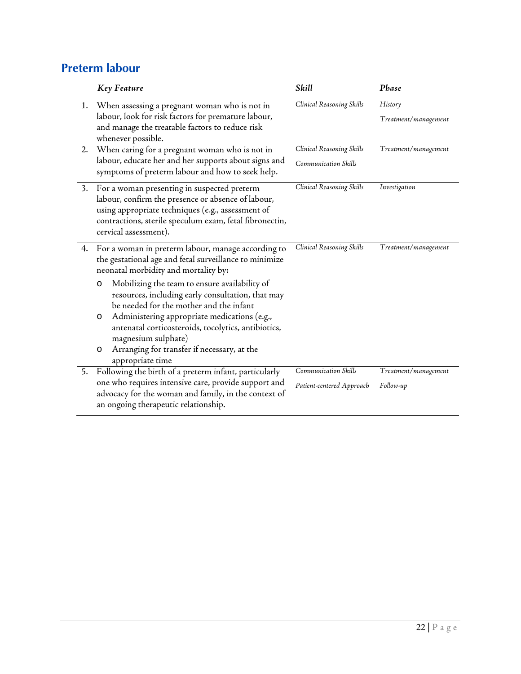#### <span id="page-22-0"></span>**Preterm labour**

|    | Key Feature                                                                                                                                                                                                                                                                | Skill                     | Phase                |
|----|----------------------------------------------------------------------------------------------------------------------------------------------------------------------------------------------------------------------------------------------------------------------------|---------------------------|----------------------|
| 1. | When assessing a pregnant woman who is not in                                                                                                                                                                                                                              | Clinical Reasoning Skills | History              |
|    | labour, look for risk factors for premature labour,<br>and manage the treatable factors to reduce risk<br>whenever possible.                                                                                                                                               |                           | Treatment/management |
| 2. | When caring for a pregnant woman who is not in                                                                                                                                                                                                                             | Clinical Reasoning Skills | Treatment/management |
|    | labour, educate her and her supports about signs and<br>symptoms of preterm labour and how to seek help.                                                                                                                                                                   | Communication Skills      |                      |
| 3. | For a woman presenting in suspected preterm<br>labour, confirm the presence or absence of labour,<br>using appropriate techniques (e.g., assessment of<br>contractions, sterile speculum exam, fetal fibronectin,<br>cervical assessment).                                 | Clinical Reasoning Skills | Investigation        |
| 4. | For a woman in preterm labour, manage according to<br>the gestational age and fetal surveillance to minimize<br>neonatal morbidity and mortality by:                                                                                                                       | Clinical Reasoning Skills | Treatment/management |
|    | Mobilizing the team to ensure availability of<br>$\circ$<br>resources, including early consultation, that may<br>be needed for the mother and the infant<br>Administering appropriate medications (e.g.,<br>$\circ$<br>antenatal corticosteroids, tocolytics, antibiotics, |                           |                      |
|    | magnesium sulphate)<br>Arranging for transfer if necessary, at the<br>O<br>appropriate time                                                                                                                                                                                |                           |                      |
| 5. | Following the birth of a preterm infant, particularly                                                                                                                                                                                                                      | Communication Skills      | Treatment/management |
|    | one who requires intensive care, provide support and<br>advocacy for the woman and family, in the context of<br>an ongoing therapeutic relationship.                                                                                                                       | Patient-centered Approach | Follow-up            |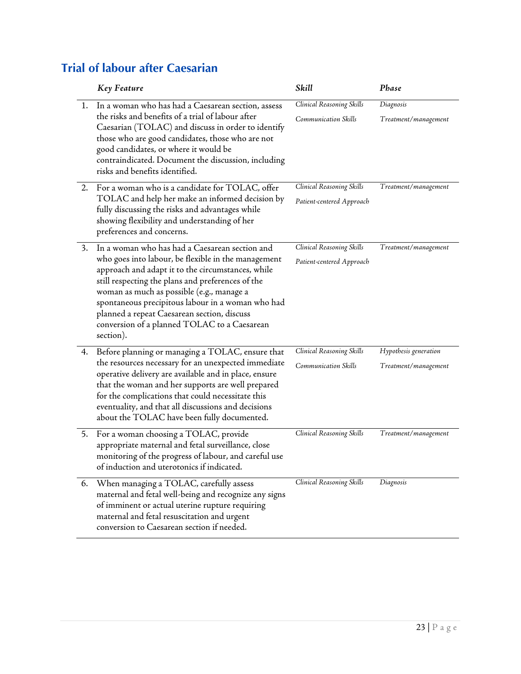|    | <b>Key Feature</b>                                                                                                                                                                                                                                                                                                                                                                                                            | Skill                                                  | Phase                                         |
|----|-------------------------------------------------------------------------------------------------------------------------------------------------------------------------------------------------------------------------------------------------------------------------------------------------------------------------------------------------------------------------------------------------------------------------------|--------------------------------------------------------|-----------------------------------------------|
| 1. | In a woman who has had a Caesarean section, assess<br>the risks and benefits of a trial of labour after<br>Caesarian (TOLAC) and discuss in order to identify<br>those who are good candidates, those who are not<br>good candidates, or where it would be<br>contraindicated. Document the discussion, including<br>risks and benefits identified.                                                                           | Clinical Reasoning Skills<br>Communication Skills      | Diagnosis<br>Treatment/management             |
| 2. | For a woman who is a candidate for TOLAC, offer<br>TOLAC and help her make an informed decision by<br>fully discussing the risks and advantages while<br>showing flexibility and understanding of her<br>preferences and concerns.                                                                                                                                                                                            | Clinical Reasoning Skills<br>Patient-centered Approach | Treatment/management                          |
| 3. | In a woman who has had a Caesarean section and<br>who goes into labour, be flexible in the management<br>approach and adapt it to the circumstances, while<br>still respecting the plans and preferences of the<br>woman as much as possible (e.g., manage a<br>spontaneous precipitous labour in a woman who had<br>planned a repeat Caesarean section, discuss<br>conversion of a planned TOLAC to a Caesarean<br>section). | Clinical Reasoning Skills<br>Patient-centered Approach | Treatment/management                          |
| 4. | Before planning or managing a TOLAC, ensure that<br>the resources necessary for an unexpected immediate<br>operative delivery are available and in place, ensure<br>that the woman and her supports are well prepared<br>for the complications that could necessitate this<br>eventuality, and that all discussions and decisions<br>about the TOLAC have been fully documented.                                              | Clinical Reasoning Skills<br>Communication Skills      | Hypothesis generation<br>Treatment/management |
| 5. | For a woman choosing a TOLAC, provide<br>appropriate maternal and fetal surveillance, close<br>monitoring of the progress of labour, and careful use<br>of induction and uterotonics if indicated.                                                                                                                                                                                                                            | Clinical Reasoning Skills                              | Treatment/management                          |
| 6. | When managing a TOLAC, carefully assess<br>maternal and fetal well-being and recognize any signs<br>of imminent or actual uterine rupture requiring<br>maternal and fetal resuscitation and urgent<br>conversion to Caesarean section if needed.                                                                                                                                                                              | Clinical Reasoning Skills                              | Diagnosis                                     |

#### <span id="page-23-0"></span>**Trial of labour after Caesarian**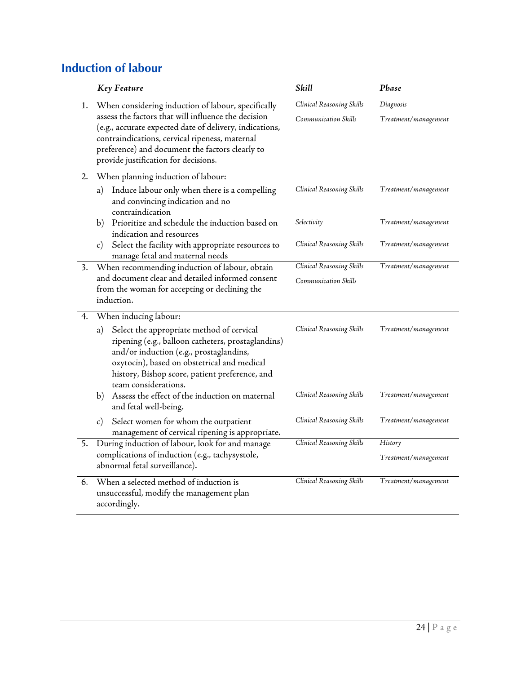#### <span id="page-24-0"></span>**Induction of labour**

|    | <b>Key Feature</b>                                                                                                                                                                                                                                                                                                | Skill                                             | Phase                             |
|----|-------------------------------------------------------------------------------------------------------------------------------------------------------------------------------------------------------------------------------------------------------------------------------------------------------------------|---------------------------------------------------|-----------------------------------|
| 1. | When considering induction of labour, specifically<br>assess the factors that will influence the decision<br>(e.g., accurate expected date of delivery, indications,<br>contraindications, cervical ripeness, maternal<br>preference) and document the factors clearly to<br>provide justification for decisions. | Clinical Reasoning Skills<br>Communication Skills | Diagnosis<br>Treatment/management |
| 2. | When planning induction of labour:                                                                                                                                                                                                                                                                                |                                                   |                                   |
|    | Induce labour only when there is a compelling<br>a)<br>and convincing indication and no<br>contraindication                                                                                                                                                                                                       | Clinical Reasoning Skills                         | Treatment/management              |
|    | Prioritize and schedule the induction based on<br>b)<br>indication and resources                                                                                                                                                                                                                                  | Selectivity                                       | Treatment/management              |
|    | Select the facility with appropriate resources to<br>$\mathbf{c})$<br>manage fetal and maternal needs                                                                                                                                                                                                             | Clinical Reasoning Skills                         | Treatment/management              |
| 3. | When recommending induction of labour, obtain                                                                                                                                                                                                                                                                     | Clinical Reasoning Skills                         | Treatment/management              |
|    | and document clear and detailed informed consent<br>from the woman for accepting or declining the<br>induction.                                                                                                                                                                                                   | Communication Skills                              |                                   |
| 4. | When inducing labour:                                                                                                                                                                                                                                                                                             |                                                   |                                   |
|    | Select the appropriate method of cervical<br>a)<br>ripening (e.g., balloon catheters, prostaglandins)<br>and/or induction (e.g., prostaglandins,<br>oxytocin), based on obstetrical and medical<br>history, Bishop score, patient preference, and<br>team considerations.                                         | Clinical Reasoning Skills                         | Treatment/management              |
|    | Assess the effect of the induction on maternal<br>b)<br>and fetal well-being.                                                                                                                                                                                                                                     | Clinical Reasoning Skills                         | Treatment/management              |
|    | Select women for whom the outpatient<br>c)<br>management of cervical ripening is appropriate.                                                                                                                                                                                                                     | Clinical Reasoning Skills                         | Treatment/management              |
| 5. | During induction of labour, look for and manage                                                                                                                                                                                                                                                                   | Clinical Reasoning Skills                         | History                           |
|    | complications of induction (e.g., tachysystole,<br>abnormal fetal surveillance).                                                                                                                                                                                                                                  |                                                   | Treatment/management              |
| 6. | When a selected method of induction is<br>unsuccessful, modify the management plan<br>accordingly.                                                                                                                                                                                                                | Clinical Reasoning Skills                         | Treatment/management              |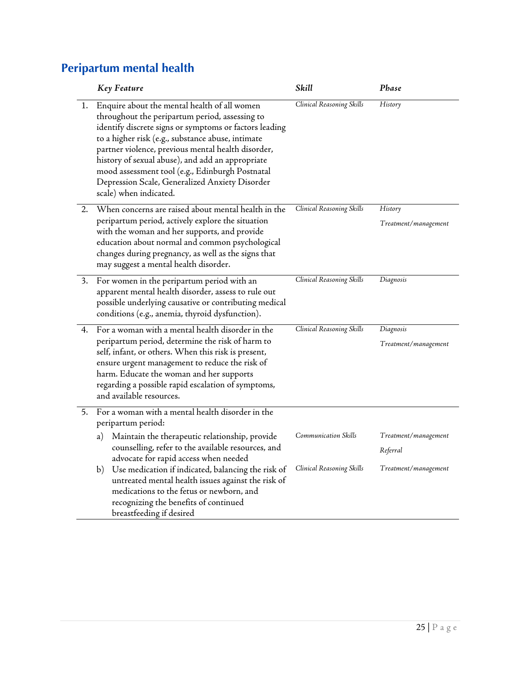#### <span id="page-25-0"></span>**Peripartum mental health**

|    | Key Feature                                                                                                                                                                                                                                                                                                                                                                                                                                            | Skill                     | Phase                |
|----|--------------------------------------------------------------------------------------------------------------------------------------------------------------------------------------------------------------------------------------------------------------------------------------------------------------------------------------------------------------------------------------------------------------------------------------------------------|---------------------------|----------------------|
| ŀ. | Enquire about the mental health of all women<br>throughout the peripartum period, assessing to<br>identify discrete signs or symptoms or factors leading<br>to a higher risk (e.g., substance abuse, intimate<br>partner violence, previous mental health disorder,<br>history of sexual abuse), and add an appropriate<br>mood assessment tool (e.g., Edinburgh Postnatal<br>Depression Scale, Generalized Anxiety Disorder<br>scale) when indicated. | Clinical Reasoning Skills | History              |
| 2. | When concerns are raised about mental health in the                                                                                                                                                                                                                                                                                                                                                                                                    | Clinical Reasoning Skills | History              |
|    | peripartum period, actively explore the situation<br>with the woman and her supports, and provide<br>education about normal and common psychological<br>changes during pregnancy, as well as the signs that<br>may suggest a mental health disorder.                                                                                                                                                                                                   |                           | Treatment/management |
| 3. | For women in the peripartum period with an                                                                                                                                                                                                                                                                                                                                                                                                             | Clinical Reasoning Skills | Diagnosis            |
|    | apparent mental health disorder, assess to rule out<br>possible underlying causative or contributing medical<br>conditions (e.g., anemia, thyroid dysfunction).                                                                                                                                                                                                                                                                                        |                           |                      |
| 4. | For a woman with a mental health disorder in the                                                                                                                                                                                                                                                                                                                                                                                                       | Clinical Reasoning Skills | Diagnosis            |
|    | peripartum period, determine the risk of harm to<br>self, infant, or others. When this risk is present,<br>ensure urgent management to reduce the risk of<br>harm. Educate the woman and her supports<br>regarding a possible rapid escalation of symptoms,<br>and available resources.                                                                                                                                                                |                           | Treatment/management |
| 5. | For a woman with a mental health disorder in the<br>peripartum period:                                                                                                                                                                                                                                                                                                                                                                                 |                           |                      |
|    | Maintain the therapeutic relationship, provide<br>a)                                                                                                                                                                                                                                                                                                                                                                                                   | Communication Skills      | Treatment/management |
|    | counselling, refer to the available resources, and<br>advocate for rapid access when needed                                                                                                                                                                                                                                                                                                                                                            |                           | Referral             |
|    | Use medication if indicated, balancing the risk of<br>b)<br>untreated mental health issues against the risk of<br>medications to the fetus or newborn, and<br>recognizing the benefits of continued<br>breastfeeding if desired                                                                                                                                                                                                                        | Clinical Reasoning Skills | Treatment/management |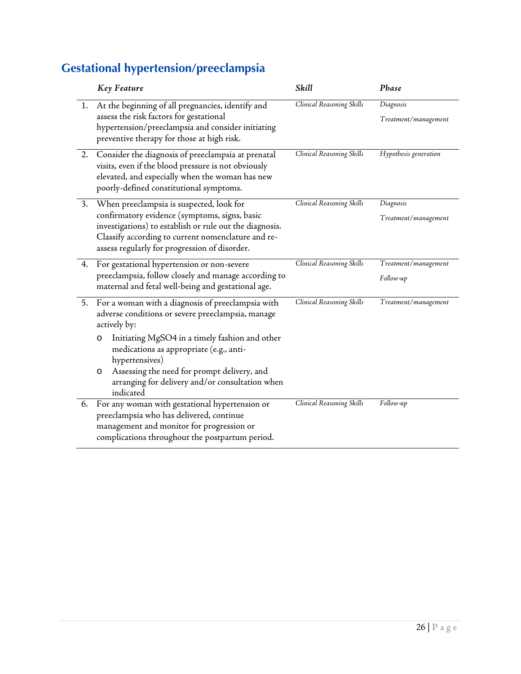## <span id="page-26-0"></span>**Gestational hypertension/preeclampsia**

|    | Key Feature                                                                                                                                                                                                                                                 | Skill                     | Phase                             |
|----|-------------------------------------------------------------------------------------------------------------------------------------------------------------------------------------------------------------------------------------------------------------|---------------------------|-----------------------------------|
| 1. | At the beginning of all pregnancies, identify and<br>assess the risk factors for gestational<br>hypertension/preeclampsia and consider initiating<br>preventive therapy for those at high risk.                                                             | Clinical Reasoning Skills | Diagnosis<br>Treatment/management |
| 2. | Consider the diagnosis of preeclampsia at prenatal<br>visits, even if the blood pressure is not obviously<br>elevated, and especially when the woman has new<br>poorly-defined constitutional symptoms.                                                     | Clinical Reasoning Skills | Hypothesis generation             |
| 3. | When preeclampsia is suspected, look for<br>confirmatory evidence (symptoms, signs, basic<br>investigations) to establish or rule out the diagnosis.<br>Classify according to current nomenclature and re-<br>assess regularly for progression of disorder. | Clinical Reasoning Skills | Diagnosis<br>Treatment/management |
| 4. | For gestational hypertension or non-severe<br>preeclampsia, follow closely and manage according to<br>maternal and fetal well-being and gestational age.                                                                                                    | Clinical Reasoning Skills | Treatment/management<br>Follow-up |
| 5. | For a woman with a diagnosis of preeclampsia with<br>adverse conditions or severe preeclampsia, manage<br>actively by:                                                                                                                                      | Clinical Reasoning Skills | Treatment/management              |
|    | Initiating MgSO4 in a timely fashion and other<br>O<br>medications as appropriate (e.g., anti-<br>hypertensives)<br>Assessing the need for prompt delivery, and<br>O<br>arranging for delivery and/or consultation when<br>indicated                        |                           |                                   |
| 6. | For any woman with gestational hypertension or<br>preeclampsia who has delivered, continue<br>management and monitor for progression or<br>complications throughout the postpartum period.                                                                  | Clinical Reasoning Skills | Follow-up                         |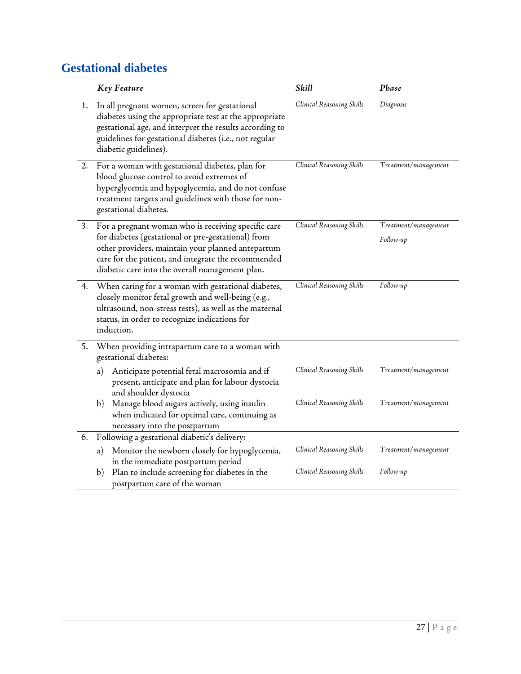#### <span id="page-27-0"></span>**Gestational diabetes**

|    | <b>Key Feature</b>                                                                                                                                                                                                                                                       | Skill                     | Phase                             |
|----|--------------------------------------------------------------------------------------------------------------------------------------------------------------------------------------------------------------------------------------------------------------------------|---------------------------|-----------------------------------|
| 1. | In all pregnant women, screen for gestational<br>diabetes using the appropriate test at the appropriate<br>gestational age, and interpret the results according to<br>guidelines for gestational diabetes (i.e., not regular<br>diabetic guidelines).                    | Clinical Reasoning Skills | Diagnosis                         |
| 2. | For a woman with gestational diabetes, plan for<br>blood glucose control to avoid extremes of<br>hyperglycemia and hypoglycemia, and do not confuse<br>treatment targets and guidelines with those for non-<br>gestational diabetes.                                     | Clinical Reasoning Skills | Treatment/management              |
| 3. | For a pregnant woman who is receiving specific care<br>for diabetes (gestational or pre-gestational) from<br>other providers, maintain your planned antepartum<br>care for the patient, and integrate the recommended<br>diabetic care into the overall management plan. | Clinical Reasoning Skills | Treatment/management<br>Follow-up |
| 4. | When caring for a woman with gestational diabetes,<br>closely monitor fetal growth and well-being (e.g.,<br>ultrasound, non-stress tests), as well as the maternal<br>status, in order to recognize indications for<br>induction.                                        | Clinical Reasoning Skills | Follow-up                         |
| 5. | When providing intrapartum care to a woman with<br>gestational diabetes:                                                                                                                                                                                                 |                           |                                   |
|    | Anticipate potential fetal macrosomia and if<br>a)<br>present, anticipate and plan for labour dystocia<br>and shoulder dystocia                                                                                                                                          | Clinical Reasoning Skills | Treatment/management              |
|    | Manage blood sugars actively, using insulin<br>b)<br>when indicated for optimal care, continuing as<br>necessary into the postpartum                                                                                                                                     | Clinical Reasoning Skills | Treatment/management              |
| 6. | Following a gestational diabetic's delivery:                                                                                                                                                                                                                             |                           |                                   |
|    | Monitor the newborn closely for hypoglycemia,<br>a)<br>in the immediate postpartum period                                                                                                                                                                                | Clinical Reasoning Skills | Treatment/management              |
|    | Plan to include screening for diabetes in the<br>b)<br>postpartum care of the woman                                                                                                                                                                                      | Clinical Reasoning Skills | Follow-up                         |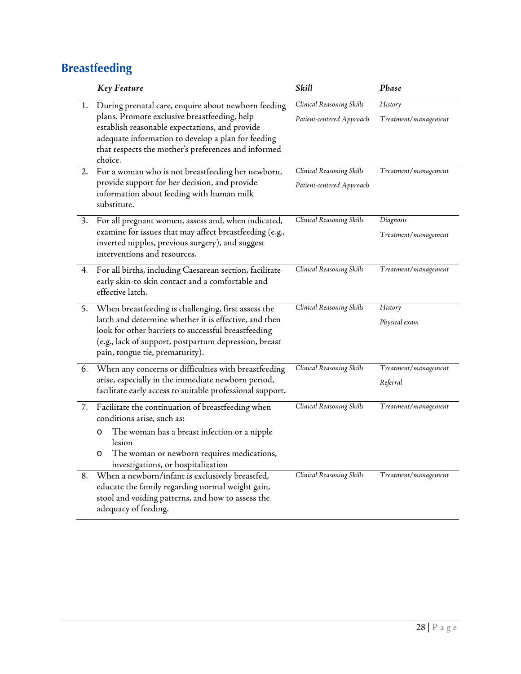#### <span id="page-28-0"></span>**Breastfeeding**

|    | <b>Key Feature</b>                                                                                                                                                                                                                                                            | Skill                                                  | Phase                             |
|----|-------------------------------------------------------------------------------------------------------------------------------------------------------------------------------------------------------------------------------------------------------------------------------|--------------------------------------------------------|-----------------------------------|
| ı. | During prenatal care, enquire about newborn feeding<br>plans. Promote exclusive breastfeeding, help<br>establish reasonable expectations, and provide<br>adequate information to develop a plan for feeding<br>that respects the mother's preferences and informed<br>choice. | Clinical Reasoning Skills<br>Patient-centered Approach | History<br>Treatment/management   |
| 2. | For a woman who is not breastfeeding her newborn,<br>provide support for her decision, and provide<br>information about feeding with human milk<br>substitute.                                                                                                                | Clinical Reasoning Skills<br>Patient-centered Approach | Treatment/management              |
| 3. | For all pregnant women, assess and, when indicated,<br>examine for issues that may affect breastfeeding (e.g.,<br>inverted nipples, previous surgery), and suggest<br>interventions and resources.                                                                            | Clinical Reasoning Skills                              | Diagnosis<br>Treatment/management |
| 4. | For all births, including Caesarean section, facilitate<br>early skin-to skin contact and a comfortable and<br>effective latch.                                                                                                                                               | Clinical Reasoning Skills                              | Treatment/management              |
| 5. | When breastfeeding is challenging, first assess the<br>latch and determine whether it is effective, and then<br>look for other barriers to successful breastfeeding<br>(e.g., lack of support, postpartum depression, breast<br>pain, tongue tie, prematurity).               | Clinical Reasoning Skills                              | History<br>Physical exam          |
| 6. | When any concerns or difficulties with breastfeeding<br>arise, especially in the immediate newborn period,<br>facilitate early access to suitable professional support.                                                                                                       | Clinical Reasoning Skills                              | Treatment/management<br>Referral  |
| 7. | Facilitate the continuation of breastfeeding when<br>conditions arise, such as:<br>The woman has a breast infection or a nipple<br>$\circ$<br>lesion<br>The woman or newborn requires medications,<br>$\circ$<br>investigations, or hospitalization                           | Clinical Reasoning Skills                              | Treatment/management              |
| 8. | When a newborn/infant is exclusively breastfed,<br>educate the family regarding normal weight gain,<br>stool and voiding patterns, and how to assess the<br>adequacy of feeding.                                                                                              | Clinical Reasoning Skills                              | Treatment/management              |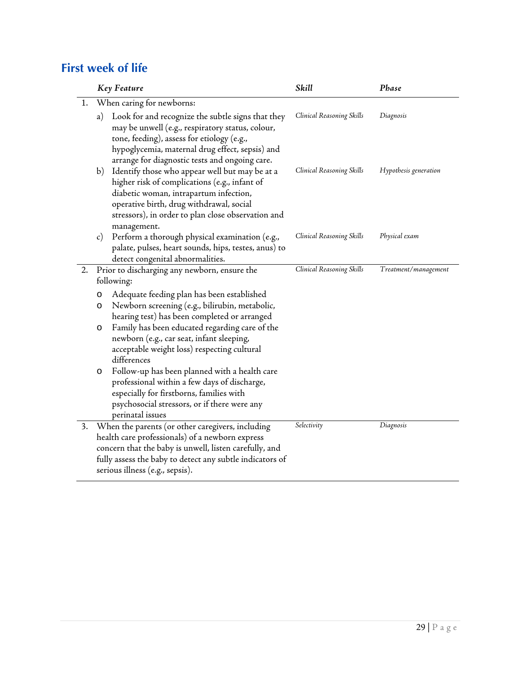#### <span id="page-29-0"></span>**First week of life**

|    | <b>Key Feature</b>                                                                                                                                                                                                                                               | Skill                     | Phase                 |  |  |
|----|------------------------------------------------------------------------------------------------------------------------------------------------------------------------------------------------------------------------------------------------------------------|---------------------------|-----------------------|--|--|
| 1. | When caring for newborns:                                                                                                                                                                                                                                        |                           |                       |  |  |
|    | Look for and recognize the subtle signs that they<br>a)<br>may be unwell (e.g., respiratory status, colour,<br>tone, feeding), assess for etiology (e.g.,<br>hypoglycemia, maternal drug effect, sepsis) and<br>arrange for diagnostic tests and ongoing care.   | Clinical Reasoning Skills | Diagnosis             |  |  |
|    | Identify those who appear well but may be at a<br>b)<br>higher risk of complications (e.g., infant of<br>diabetic woman, intrapartum infection,<br>operative birth, drug withdrawal, social<br>stressors), in order to plan close observation and<br>management. | Clinical Reasoning Skills | Hypothesis generation |  |  |
|    | Perform a thorough physical examination (e.g.,<br>$\mathcal{C}$ )<br>palate, pulses, heart sounds, hips, testes, anus) to<br>detect congenital abnormalities.                                                                                                    | Clinical Reasoning Skills | Physical exam         |  |  |
| 2. | Prior to discharging any newborn, ensure the                                                                                                                                                                                                                     | Clinical Reasoning Skills | Treatment/management  |  |  |
|    | following:                                                                                                                                                                                                                                                       |                           |                       |  |  |
|    | Adequate feeding plan has been established<br>$\circ$<br>Newborn screening (e.g., bilirubin, metabolic,<br>O<br>hearing test) has been completed or arranged                                                                                                     |                           |                       |  |  |
|    | Family has been educated regarding care of the<br>O<br>newborn (e.g., car seat, infant sleeping,<br>acceptable weight loss) respecting cultural<br>differences                                                                                                   |                           |                       |  |  |
|    | Follow-up has been planned with a health care<br>O<br>professional within a few days of discharge,<br>especially for firstborns, families with<br>psychosocial stressors, or if there were any<br>perinatal issues                                               |                           |                       |  |  |
| 3. | When the parents (or other caregivers, including                                                                                                                                                                                                                 | Selectivity               | Diagnosis             |  |  |
|    | health care professionals) of a newborn express                                                                                                                                                                                                                  |                           |                       |  |  |
|    | concern that the baby is unwell, listen carefully, and                                                                                                                                                                                                           |                           |                       |  |  |
|    | fully assess the baby to detect any subtle indicators of<br>serious illness (e.g., sepsis).                                                                                                                                                                      |                           |                       |  |  |
|    |                                                                                                                                                                                                                                                                  |                           |                       |  |  |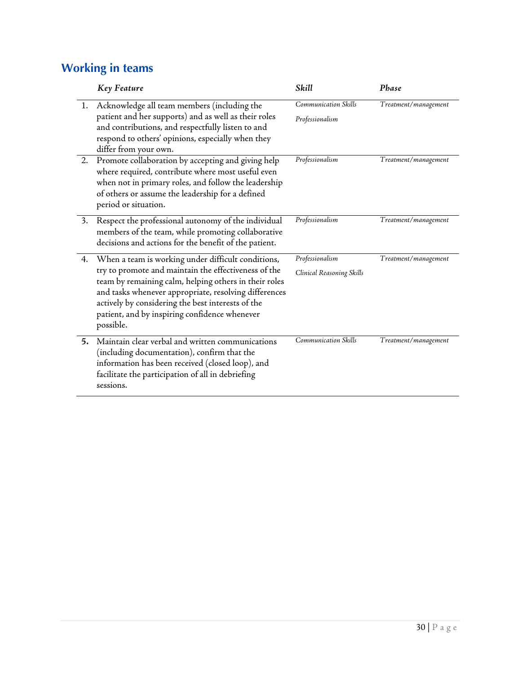#### <span id="page-30-0"></span>**Working in teams**

|    | Key Feature                                                                                                                                                                                                                                                                                                                                     | Skill                                        | Phase                |
|----|-------------------------------------------------------------------------------------------------------------------------------------------------------------------------------------------------------------------------------------------------------------------------------------------------------------------------------------------------|----------------------------------------------|----------------------|
| 1. | Acknowledge all team members (including the<br>patient and her supports) and as well as their roles<br>and contributions, and respectfully listen to and<br>respond to others' opinions, especially when they<br>differ from your own.                                                                                                          | Communication Skills<br>Professionalism      | Treatment/management |
| 2. | Promote collaboration by accepting and giving help<br>where required, contribute where most useful even<br>when not in primary roles, and follow the leadership<br>of others or assume the leadership for a defined<br>period or situation.                                                                                                     | Professionalism                              | Treatment/management |
| 3. | Respect the professional autonomy of the individual<br>members of the team, while promoting collaborative<br>decisions and actions for the benefit of the patient.                                                                                                                                                                              | Professionalism                              | Treatment/management |
| 4. | When a team is working under difficult conditions,<br>try to promote and maintain the effectiveness of the<br>team by remaining calm, helping others in their roles<br>and tasks whenever appropriate, resolving differences<br>actively by considering the best interests of the<br>patient, and by inspiring confidence whenever<br>possible. | Professionalism<br>Clinical Reasoning Skills | Treatment/management |
| 5. | Maintain clear verbal and written communications<br>(including documentation), confirm that the<br>information has been received (closed loop), and<br>facilitate the participation of all in debriefing<br>sessions.                                                                                                                           | Communication Skills                         | Treatment/management |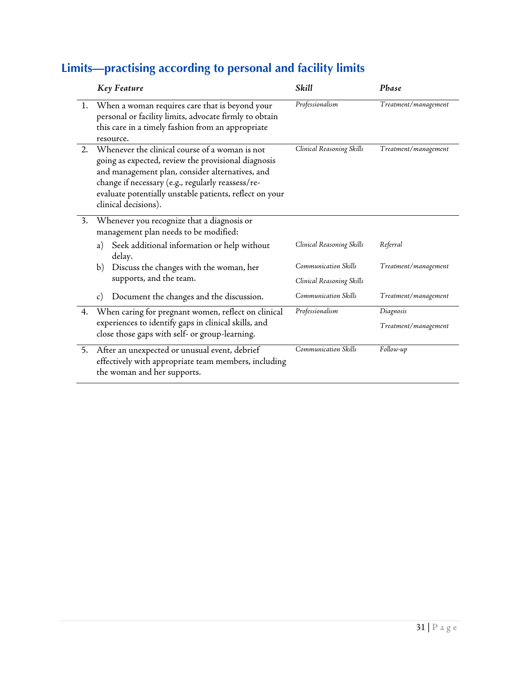## <span id="page-31-0"></span>**Limits—practising according to personal and facility limits**

|    | <b>Key Feature</b>                                                                                                                                                                                                                                                                               | Skill                                             | Phase                             |
|----|--------------------------------------------------------------------------------------------------------------------------------------------------------------------------------------------------------------------------------------------------------------------------------------------------|---------------------------------------------------|-----------------------------------|
| 1. | When a woman requires care that is beyond your<br>personal or facility limits, advocate firmly to obtain<br>this care in a timely fashion from an appropriate<br>resource.                                                                                                                       | Professionalism                                   | Treatment/management              |
| 2. | Whenever the clinical course of a woman is not<br>going as expected, review the provisional diagnosis<br>and management plan, consider alternatives, and<br>change if necessary (e.g., regularly reassess/re-<br>evaluate potentially unstable patients, reflect on your<br>clinical decisions). | Clinical Reasoning Skills                         | Treatment/management              |
| 3. | Whenever you recognize that a diagnosis or<br>management plan needs to be modified:<br>Seek additional information or help without<br>a)<br>delay.<br>Discuss the changes with the woman, her<br>b)                                                                                              | Clinical Reasoning Skills<br>Communication Skills | Referral<br>Treatment/management  |
|    | supports, and the team.<br>Document the changes and the discussion.<br>$\mathcal{C}$ )                                                                                                                                                                                                           | Clinical Reasoning Skills<br>Communication Skills | Treatment/management              |
| 4. | When caring for pregnant women, reflect on clinical<br>experiences to identify gaps in clinical skills, and<br>close those gaps with self- or group-learning.                                                                                                                                    | Professionalism                                   | Diagnosis<br>Treatment/management |
| 5. | After an unexpected or unusual event, debrief<br>effectively with appropriate team members, including<br>the woman and her supports.                                                                                                                                                             | Communication Skills                              | Follow-up                         |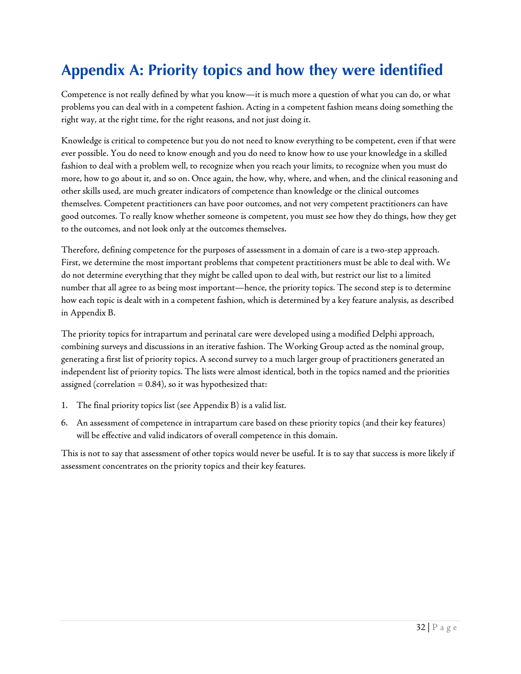## <span id="page-32-0"></span>**Appendix A: Priority topics and how they were identified**

Competence is not really defined by what you know—it is much more a question of what you can do, or what problems you can deal with in a competent fashion. Acting in a competent fashion means doing something the right way, at the right time, for the right reasons, and not just doing it.

Knowledge is critical to competence but you do not need to know everything to be competent, even if that were ever possible. You do need to know enough and you do need to know how to use your knowledge in a skilled fashion to deal with a problem well, to recognize when you reach your limits, to recognize when you must do more, how to go about it, and so on. Once again, the how, why, where, and when, and the clinical reasoning and other skills used, are much greater indicators of competence than knowledge or the clinical outcomes themselves. Competent practitioners can have poor outcomes, and not very competent practitioners can have good outcomes. To really know whether someone is competent, you must see how they do things, how they get to the outcomes, and not look only at the outcomes themselves.

Therefore, defining competence for the purposes of assessment in a domain of care is a two-step approach. First, we determine the most important problems that competent practitioners must be able to deal with. We do not determine everything that they might be called upon to deal with, but restrict our list to a limited number that all agree to as being most important—hence, the priority topics. The second step is to determine how each topic is dealt with in a competent fashion, which is determined by a key feature analysis, as described in Appendix B.

The priority topics for intrapartum and perinatal care were developed using a modified Delphi approach, combining surveys and discussions in an iterative fashion. The Working Group acted as the nominal group, generating a first list of priority topics. A second survey to a much larger group of practitioners generated an independent list of priority topics. The lists were almost identical, both in the topics named and the priorities assigned (correlation  $= 0.84$ ), so it was hypothesized that:

- 1. The final priority topics list (see Appendix B) is a valid list.
- 6. An assessment of competence in intrapartum care based on these priority topics (and their key features) will be effective and valid indicators of overall competence in this domain.

This is not to say that assessment of other topics would never be useful. It is to say that success is more likely if assessment concentrates on the priority topics and their key features.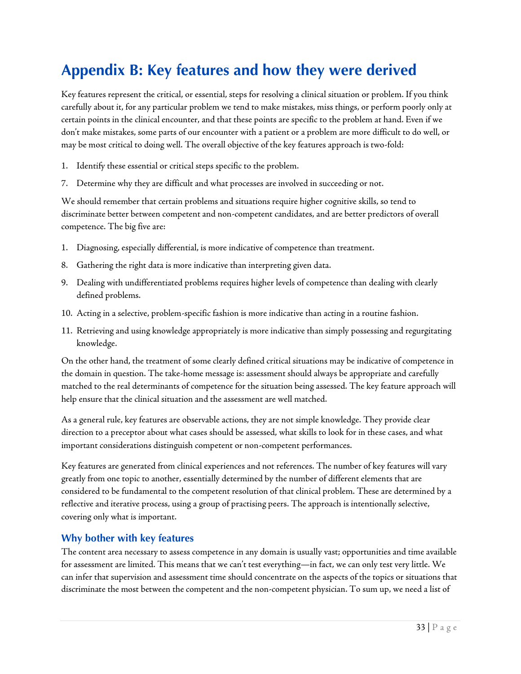#### <span id="page-33-0"></span>**Appendix B: Key features and how they were derived**

Key features represent the critical, or essential, steps for resolving a clinical situation or problem. If you think carefully about it, for any particular problem we tend to make mistakes, miss things, or perform poorly only at certain points in the clinical encounter, and that these points are specific to the problem at hand. Even if we don't make mistakes, some parts of our encounter with a patient or a problem are more difficult to do well, or may be most critical to doing well. The overall objective of the key features approach is two-fold:

- 1. Identify these essential or critical steps specific to the problem.
- 7. Determine why they are difficult and what processes are involved in succeeding or not.

We should remember that certain problems and situations require higher cognitive skills, so tend to discriminate better between competent and non-competent candidates, and are better predictors of overall competence. The big five are:

- 1. Diagnosing, especially differential, is more indicative of competence than treatment.
- 8. Gathering the right data is more indicative than interpreting given data.
- 9. Dealing with undifferentiated problems requires higher levels of competence than dealing with clearly defined problems.
- 10. Acting in a selective, problem-specific fashion is more indicative than acting in a routine fashion.
- 11. Retrieving and using knowledge appropriately is more indicative than simply possessing and regurgitating knowledge.

On the other hand, the treatment of some clearly defined critical situations may be indicative of competence in the domain in question. The take-home message is: assessment should always be appropriate and carefully matched to the real determinants of competence for the situation being assessed. The key feature approach will help ensure that the clinical situation and the assessment are well matched.

As a general rule, key features are observable actions, they are not simple knowledge. They provide clear direction to a preceptor about what cases should be assessed, what skills to look for in these cases, and what important considerations distinguish competent or non-competent performances.

Key features are generated from clinical experiences and not references. The number of key features will vary greatly from one topic to another, essentially determined by the number of different elements that are considered to be fundamental to the competent resolution of that clinical problem. These are determined by a reflective and iterative process, using a group of practising peers. The approach is intentionally selective, covering only what is important.

#### **Why bother with key features**

The content area necessary to assess competence in any domain is usually vast; opportunities and time available for assessment are limited. This means that we can't test everything—in fact, we can only test very little. We can infer that supervision and assessment time should concentrate on the aspects of the topics or situations that discriminate the most between the competent and the non-competent physician. To sum up, we need a list of